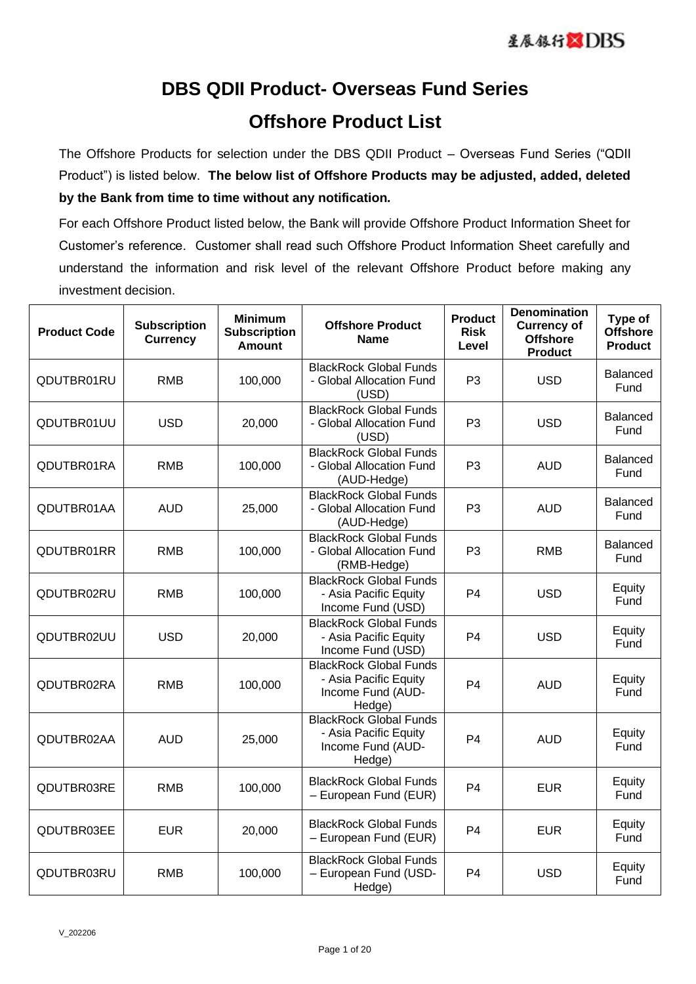## **DBS QDII Product- Overseas Fund Series Offshore Product List**

The Offshore Products for selection under the DBS QDII Product – Overseas Fund Series ("QDII Product") is listed below. **The below list of Offshore Products may be adjusted, added, deleted by the Bank from time to time without any notification.**

For each Offshore Product listed below, the Bank will provide Offshore Product Information Sheet for Customer's reference. Customer shall read such Offshore Product Information Sheet carefully and understand the information and risk level of the relevant Offshore Product before making any investment decision.

| <b>Product Code</b> | <b>Subscription</b><br><b>Currency</b> | <b>Minimum</b><br><b>Subscription</b><br><b>Amount</b> | <b>Offshore Product</b><br><b>Name</b>                                                | <b>Product</b><br><b>Risk</b><br>Level | <b>Denomination</b><br><b>Currency of</b><br><b>Offshore</b><br><b>Product</b> | Type of<br><b>Offshore</b><br><b>Product</b> |
|---------------------|----------------------------------------|--------------------------------------------------------|---------------------------------------------------------------------------------------|----------------------------------------|--------------------------------------------------------------------------------|----------------------------------------------|
| QDUTBR01RU          | RMB                                    | 100,000                                                | <b>BlackRock Global Funds</b><br>- Global Allocation Fund<br>(USD)                    | P <sub>3</sub>                         | <b>USD</b>                                                                     | Balanced<br>Fund                             |
| QDUTBR01UU          | <b>USD</b>                             | 20,000                                                 | <b>BlackRock Global Funds</b><br>- Global Allocation Fund<br>(USD)                    | P <sub>3</sub>                         | <b>USD</b>                                                                     | <b>Balanced</b><br>Fund                      |
| QDUTBR01RA          | <b>RMB</b>                             | 100,000                                                | <b>BlackRock Global Funds</b><br>- Global Allocation Fund<br>(AUD-Hedge)              | P <sub>3</sub>                         | <b>AUD</b>                                                                     | Balanced<br>Fund                             |
| QDUTBR01AA          | <b>AUD</b>                             | 25,000                                                 | <b>BlackRock Global Funds</b><br>- Global Allocation Fund<br>(AUD-Hedge)              | P <sub>3</sub>                         | <b>AUD</b>                                                                     | <b>Balanced</b><br>Fund                      |
| QDUTBR01RR          | <b>RMB</b>                             | 100,000                                                | <b>BlackRock Global Funds</b><br>- Global Allocation Fund<br>(RMB-Hedge)              | P <sub>3</sub>                         | <b>RMB</b>                                                                     | <b>Balanced</b><br>Fund                      |
| QDUTBR02RU          | RMB                                    | 100,000                                                | <b>BlackRock Global Funds</b><br>- Asia Pacific Equity<br>Income Fund (USD)           | P <sub>4</sub>                         | <b>USD</b>                                                                     | Equity<br>Fund                               |
| QDUTBR02UU          | <b>USD</b>                             | 20,000                                                 | <b>BlackRock Global Funds</b><br>- Asia Pacific Equity<br>Income Fund (USD)           | P <sub>4</sub>                         | <b>USD</b>                                                                     | Equity<br>Fund                               |
| QDUTBR02RA          | <b>RMB</b>                             | 100,000                                                | <b>BlackRock Global Funds</b><br>- Asia Pacific Equity<br>Income Fund (AUD-<br>Hedge) | P <sub>4</sub>                         | <b>AUD</b>                                                                     | Equity<br>Fund                               |
| QDUTBR02AA          | <b>AUD</b>                             | 25,000                                                 | <b>BlackRock Global Funds</b><br>- Asia Pacific Equity<br>Income Fund (AUD-<br>Hedge) | P <sub>4</sub>                         | <b>AUD</b>                                                                     | Equity<br>Fund                               |
| QDUTBR03RE          | <b>RMB</b>                             | 100,000                                                | <b>BlackRock Global Funds</b><br>- European Fund (EUR)                                | P <sub>4</sub>                         | <b>EUR</b>                                                                     | Equity<br>Fund                               |
| QDUTBR03EE          | <b>EUR</b>                             | 20,000                                                 | <b>BlackRock Global Funds</b><br>- European Fund (EUR)                                | P <sub>4</sub>                         | <b>EUR</b>                                                                     | Equity<br>Fund                               |
| QDUTBR03RU          | <b>RMB</b>                             | 100,000                                                | <b>BlackRock Global Funds</b><br>- European Fund (USD-<br>Hedge)                      | P <sub>4</sub>                         | <b>USD</b>                                                                     | Equity<br>Fund                               |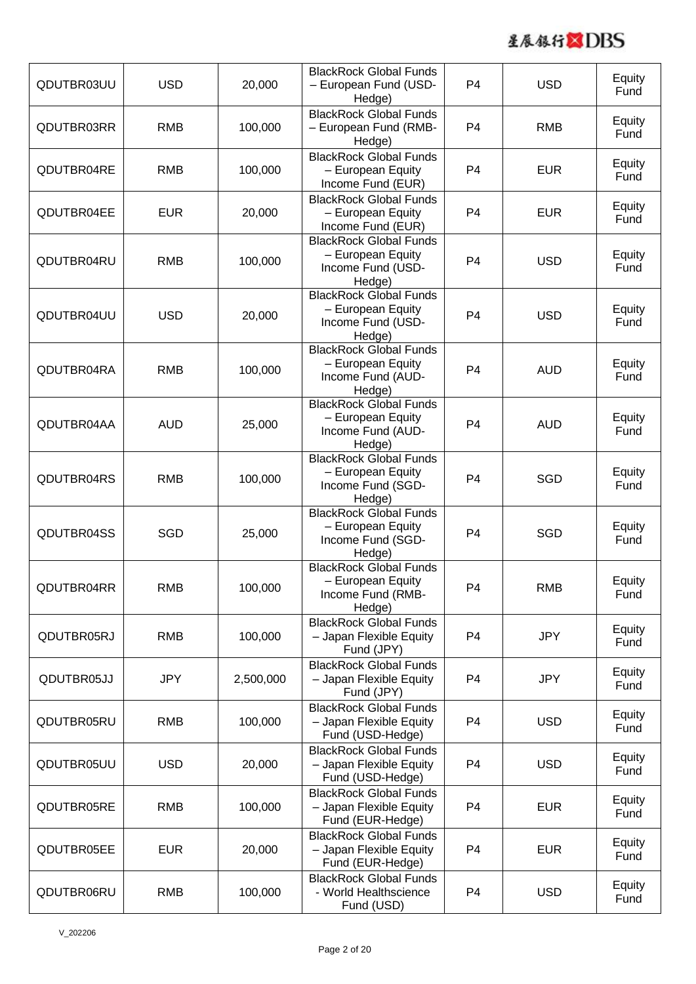

| QDUTBR03UU | <b>USD</b> | 20,000    | <b>BlackRock Global Funds</b><br>- European Fund (USD-<br>Hedge)                  | P <sub>4</sub> | <b>USD</b> | Equity<br>Fund |
|------------|------------|-----------|-----------------------------------------------------------------------------------|----------------|------------|----------------|
| QDUTBR03RR | <b>RMB</b> | 100,000   | <b>BlackRock Global Funds</b><br>- European Fund (RMB-<br>Hedge)                  | P <sub>4</sub> | <b>RMB</b> | Equity<br>Fund |
| QDUTBR04RE | <b>RMB</b> | 100,000   | <b>BlackRock Global Funds</b><br>- European Equity<br>Income Fund (EUR)           | P <sub>4</sub> | <b>EUR</b> | Equity<br>Fund |
| QDUTBR04EE | <b>EUR</b> | 20,000    | <b>BlackRock Global Funds</b><br>- European Equity<br>Income Fund (EUR)           | P4             | <b>EUR</b> | Equity<br>Fund |
| QDUTBR04RU | <b>RMB</b> | 100,000   | <b>BlackRock Global Funds</b><br>- European Equity<br>Income Fund (USD-<br>Hedge) | P <sub>4</sub> | <b>USD</b> | Equity<br>Fund |
| QDUTBR04UU | <b>USD</b> | 20,000    | <b>BlackRock Global Funds</b><br>- European Equity<br>Income Fund (USD-<br>Hedge) | P <sub>4</sub> | <b>USD</b> | Equity<br>Fund |
| QDUTBR04RA | <b>RMB</b> | 100,000   | <b>BlackRock Global Funds</b><br>- European Equity<br>Income Fund (AUD-<br>Hedge) | P <sub>4</sub> | <b>AUD</b> | Equity<br>Fund |
| QDUTBR04AA | <b>AUD</b> | 25,000    | <b>BlackRock Global Funds</b><br>- European Equity<br>Income Fund (AUD-<br>Hedge) | P <sub>4</sub> | <b>AUD</b> | Equity<br>Fund |
| QDUTBR04RS | <b>RMB</b> | 100,000   | <b>BlackRock Global Funds</b><br>- European Equity<br>Income Fund (SGD-<br>Hedge) | P <sub>4</sub> | SGD        | Equity<br>Fund |
| QDUTBR04SS | <b>SGD</b> | 25,000    | <b>BlackRock Global Funds</b><br>- European Equity<br>Income Fund (SGD-<br>Hedge) | P <sub>4</sub> | <b>SGD</b> | Equity<br>Fund |
| QDUTBR04RR | <b>RMB</b> | 100,000   | <b>BlackRock Global Funds</b><br>- European Equity<br>Income Fund (RMB-<br>Hedge) | P <sub>4</sub> | <b>RMB</b> | Equity<br>Fund |
| QDUTBR05RJ | <b>RMB</b> | 100,000   | <b>BlackRock Global Funds</b><br>- Japan Flexible Equity<br>Fund (JPY)            | P <sub>4</sub> | <b>JPY</b> | Equity<br>Fund |
| QDUTBR05JJ | <b>JPY</b> | 2,500,000 | <b>BlackRock Global Funds</b><br>- Japan Flexible Equity<br>Fund (JPY)            | P <sub>4</sub> | <b>JPY</b> | Equity<br>Fund |
| QDUTBR05RU | <b>RMB</b> | 100,000   | <b>BlackRock Global Funds</b><br>- Japan Flexible Equity<br>Fund (USD-Hedge)      | P <sub>4</sub> | <b>USD</b> | Equity<br>Fund |
| QDUTBR05UU | <b>USD</b> | 20,000    | <b>BlackRock Global Funds</b><br>- Japan Flexible Equity<br>Fund (USD-Hedge)      | P <sub>4</sub> | <b>USD</b> | Equity<br>Fund |
| QDUTBR05RE | <b>RMB</b> | 100,000   | <b>BlackRock Global Funds</b><br>- Japan Flexible Equity<br>Fund (EUR-Hedge)      | P <sub>4</sub> | <b>EUR</b> | Equity<br>Fund |
| QDUTBR05EE | <b>EUR</b> | 20,000    | <b>BlackRock Global Funds</b><br>- Japan Flexible Equity<br>Fund (EUR-Hedge)      | P <sub>4</sub> | <b>EUR</b> | Equity<br>Fund |
| QDUTBR06RU | <b>RMB</b> | 100,000   | <b>BlackRock Global Funds</b><br>- World Healthscience<br>Fund (USD)              | P <sub>4</sub> | <b>USD</b> | Equity<br>Fund |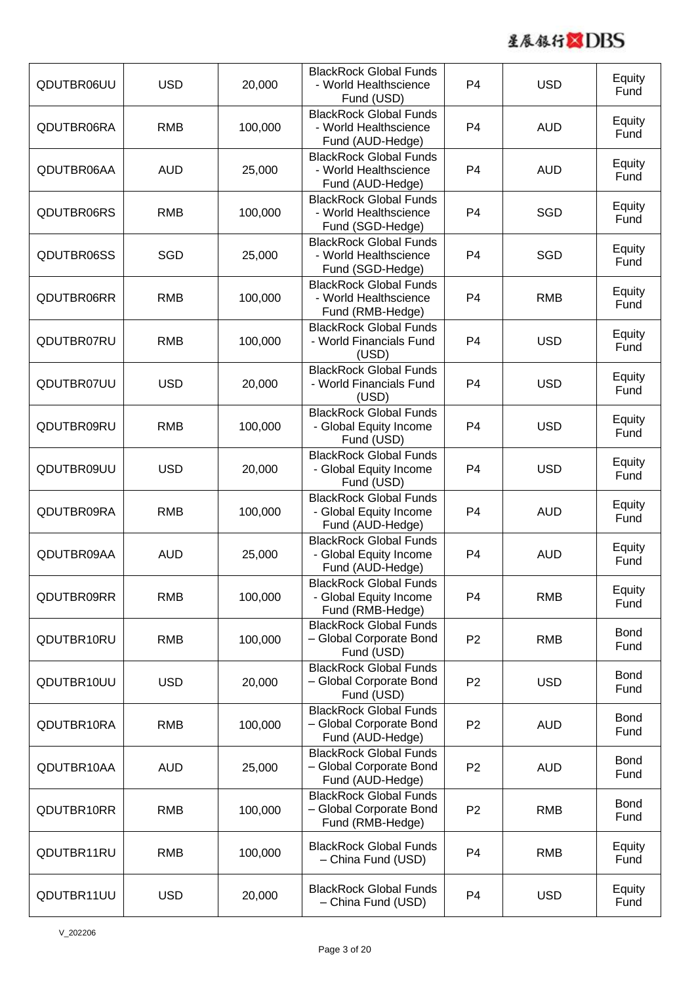

| QDUTBR06UU | <b>USD</b> | 20,000  | <b>BlackRock Global Funds</b><br>- World Healthscience<br>Fund (USD)         | P <sub>4</sub> | <b>USD</b> | Equity<br>Fund      |
|------------|------------|---------|------------------------------------------------------------------------------|----------------|------------|---------------------|
| QDUTBR06RA | <b>RMB</b> | 100,000 | <b>BlackRock Global Funds</b><br>- World Healthscience<br>Fund (AUD-Hedge)   | P <sub>4</sub> | <b>AUD</b> | Equity<br>Fund      |
| QDUTBR06AA | <b>AUD</b> | 25,000  | <b>BlackRock Global Funds</b><br>- World Healthscience<br>Fund (AUD-Hedge)   | P <sub>4</sub> | <b>AUD</b> | Equity<br>Fund      |
| QDUTBR06RS | <b>RMB</b> | 100,000 | <b>BlackRock Global Funds</b><br>- World Healthscience<br>Fund (SGD-Hedge)   | P <sub>4</sub> | <b>SGD</b> | Equity<br>Fund      |
| QDUTBR06SS | <b>SGD</b> | 25,000  | <b>BlackRock Global Funds</b><br>- World Healthscience<br>Fund (SGD-Hedge)   | P <sub>4</sub> | <b>SGD</b> | Equity<br>Fund      |
| QDUTBR06RR | <b>RMB</b> | 100,000 | <b>BlackRock Global Funds</b><br>- World Healthscience<br>Fund (RMB-Hedge)   | P <sub>4</sub> | <b>RMB</b> | Equity<br>Fund      |
| QDUTBR07RU | <b>RMB</b> | 100,000 | <b>BlackRock Global Funds</b><br>- World Financials Fund<br>(USD)            | P <sub>4</sub> | <b>USD</b> | Equity<br>Fund      |
| QDUTBR07UU | <b>USD</b> | 20,000  | <b>BlackRock Global Funds</b><br>- World Financials Fund<br>(USD)            | P <sub>4</sub> | <b>USD</b> | Equity<br>Fund      |
| QDUTBR09RU | <b>RMB</b> | 100,000 | <b>BlackRock Global Funds</b><br>- Global Equity Income<br>Fund (USD)        | P <sub>4</sub> | <b>USD</b> | Equity<br>Fund      |
| QDUTBR09UU | <b>USD</b> | 20,000  | <b>BlackRock Global Funds</b><br>- Global Equity Income<br>Fund (USD)        | P <sub>4</sub> | <b>USD</b> | Equity<br>Fund      |
| QDUTBR09RA | <b>RMB</b> | 100,000 | <b>BlackRock Global Funds</b><br>- Global Equity Income<br>Fund (AUD-Hedge)  | P <sub>4</sub> | <b>AUD</b> | Equity<br>Fund      |
| QDUTBR09AA | <b>AUD</b> | 25,000  | <b>BlackRock Global Funds</b><br>- Global Equity Income<br>Fund (AUD-Hedge)  | P <sub>4</sub> | <b>AUD</b> | Equity<br>Fund      |
| QDUTBR09RR | <b>RMB</b> | 100,000 | <b>BlackRock Global Funds</b><br>- Global Equity Income<br>Fund (RMB-Hedge)  | P <sub>4</sub> | <b>RMB</b> | Equity<br>Fund      |
| QDUTBR10RU | <b>RMB</b> | 100,000 | <b>BlackRock Global Funds</b><br>- Global Corporate Bond<br>Fund (USD)       | P <sub>2</sub> | <b>RMB</b> | <b>Bond</b><br>Fund |
| QDUTBR10UU | <b>USD</b> | 20,000  | <b>BlackRock Global Funds</b><br>- Global Corporate Bond<br>Fund (USD)       | P <sub>2</sub> | <b>USD</b> | <b>Bond</b><br>Fund |
| QDUTBR10RA | <b>RMB</b> | 100,000 | <b>BlackRock Global Funds</b><br>- Global Corporate Bond<br>Fund (AUD-Hedge) | P <sub>2</sub> | <b>AUD</b> | <b>Bond</b><br>Fund |
| QDUTBR10AA | <b>AUD</b> | 25,000  | <b>BlackRock Global Funds</b><br>- Global Corporate Bond<br>Fund (AUD-Hedge) | P <sub>2</sub> | <b>AUD</b> | <b>Bond</b><br>Fund |
| QDUTBR10RR | <b>RMB</b> | 100,000 | <b>BlackRock Global Funds</b><br>- Global Corporate Bond<br>Fund (RMB-Hedge) | P <sub>2</sub> | <b>RMB</b> | <b>Bond</b><br>Fund |
| QDUTBR11RU | <b>RMB</b> | 100,000 | <b>BlackRock Global Funds</b><br>- China Fund (USD)                          | P <sub>4</sub> | <b>RMB</b> | Equity<br>Fund      |
| QDUTBR11UU | <b>USD</b> | 20,000  | <b>BlackRock Global Funds</b><br>- China Fund (USD)                          | P <sub>4</sub> | <b>USD</b> | Equity<br>Fund      |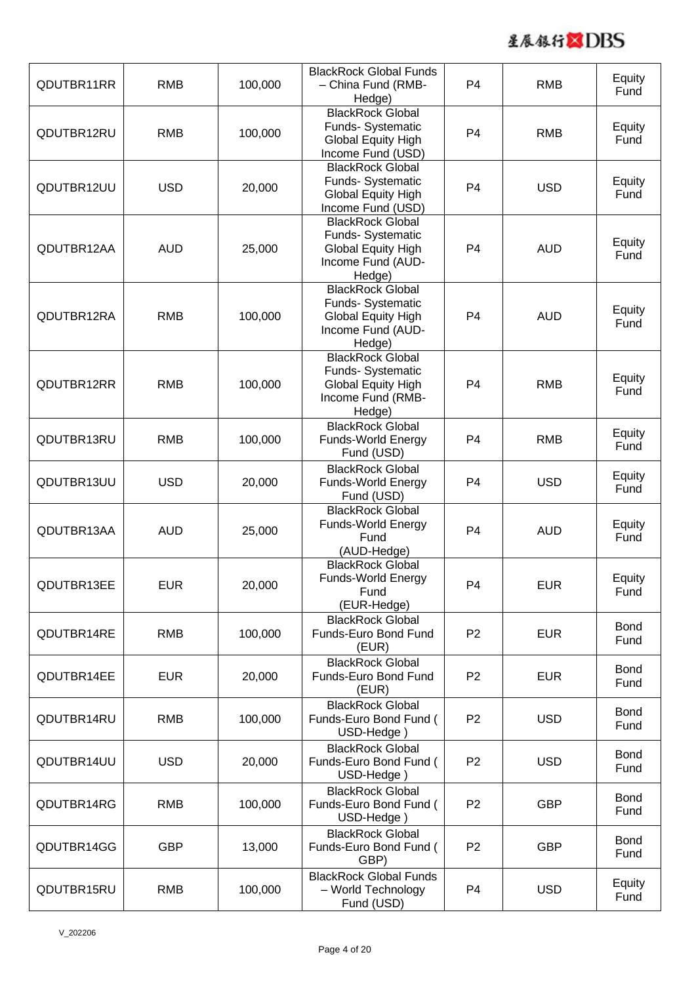

| QDUTBR11RR | <b>RMB</b> | 100,000 | <b>BlackRock Global Funds</b><br>- China Fund (RMB-<br>Hedge)                                            | P <sub>4</sub> | <b>RMB</b> | Equity<br>Fund      |
|------------|------------|---------|----------------------------------------------------------------------------------------------------------|----------------|------------|---------------------|
| QDUTBR12RU | <b>RMB</b> | 100,000 | <b>BlackRock Global</b><br>Funds- Systematic<br>Global Equity High<br>Income Fund (USD)                  | P <sub>4</sub> | <b>RMB</b> | Equity<br>Fund      |
| QDUTBR12UU | <b>USD</b> | 20,000  | <b>BlackRock Global</b><br>Funds- Systematic<br><b>Global Equity High</b><br>Income Fund (USD)           | P <sub>4</sub> | <b>USD</b> | Equity<br>Fund      |
| QDUTBR12AA | <b>AUD</b> | 25,000  | <b>BlackRock Global</b><br>Funds- Systematic<br>Global Equity High<br>Income Fund (AUD-<br>Hedge)        | P <sub>4</sub> | <b>AUD</b> | Equity<br>Fund      |
| QDUTBR12RA | <b>RMB</b> | 100,000 | <b>BlackRock Global</b><br>Funds- Systematic<br><b>Global Equity High</b><br>Income Fund (AUD-<br>Hedge) | P <sub>4</sub> | <b>AUD</b> | Equity<br>Fund      |
| QDUTBR12RR | <b>RMB</b> | 100,000 | <b>BlackRock Global</b><br>Funds- Systematic<br><b>Global Equity High</b><br>Income Fund (RMB-<br>Hedge) | P <sub>4</sub> | <b>RMB</b> | Equity<br>Fund      |
| QDUTBR13RU | <b>RMB</b> | 100,000 | <b>BlackRock Global</b><br>Funds-World Energy<br>Fund (USD)                                              | P <sub>4</sub> | <b>RMB</b> | Equity<br>Fund      |
| QDUTBR13UU | <b>USD</b> | 20,000  | <b>BlackRock Global</b><br>Funds-World Energy<br>Fund (USD)                                              | P <sub>4</sub> | <b>USD</b> | Equity<br>Fund      |
| QDUTBR13AA | <b>AUD</b> | 25,000  | <b>BlackRock Global</b><br>Funds-World Energy<br>Fund<br>(AUD-Hedge)                                     | P <sub>4</sub> | <b>AUD</b> | Equity<br>Fund      |
| QDUTBR13EE | <b>EUR</b> | 20,000  | <b>BlackRock Global</b><br><b>Funds-World Energy</b><br>Fund<br>(EUR-Hedge)                              | P <sub>4</sub> | <b>EUR</b> | Equity<br>Fund      |
| QDUTBR14RE | <b>RMB</b> | 100,000 | <b>BlackRock Global</b><br>Funds-Euro Bond Fund<br>(EUR)                                                 | P <sub>2</sub> | <b>EUR</b> | <b>Bond</b><br>Fund |
| QDUTBR14EE | <b>EUR</b> | 20,000  | <b>BlackRock Global</b><br>Funds-Euro Bond Fund<br>(EUR)                                                 | P <sub>2</sub> | <b>EUR</b> | <b>Bond</b><br>Fund |
| QDUTBR14RU | <b>RMB</b> | 100,000 | <b>BlackRock Global</b><br>Funds-Euro Bond Fund (<br>USD-Hedge)                                          | P <sub>2</sub> | <b>USD</b> | <b>Bond</b><br>Fund |
| QDUTBR14UU | <b>USD</b> | 20,000  | <b>BlackRock Global</b><br>Funds-Euro Bond Fund (<br>USD-Hedge)                                          | P <sub>2</sub> | <b>USD</b> | <b>Bond</b><br>Fund |
| QDUTBR14RG | <b>RMB</b> | 100,000 | <b>BlackRock Global</b><br>Funds-Euro Bond Fund (<br>USD-Hedge)                                          | P <sub>2</sub> | <b>GBP</b> | <b>Bond</b><br>Fund |
| QDUTBR14GG | <b>GBP</b> | 13,000  | <b>BlackRock Global</b><br>Funds-Euro Bond Fund (<br>GBP)                                                | P <sub>2</sub> | <b>GBP</b> | <b>Bond</b><br>Fund |
| QDUTBR15RU | <b>RMB</b> | 100,000 | <b>BlackRock Global Funds</b><br>- World Technology<br>Fund (USD)                                        | P <sub>4</sub> | <b>USD</b> | Equity<br>Fund      |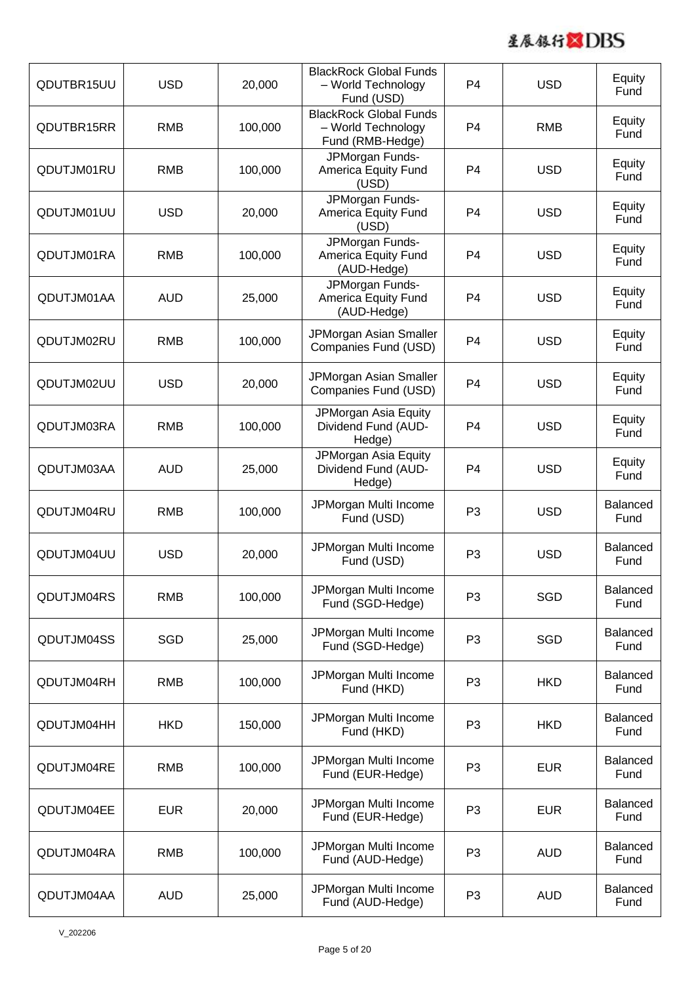

| QDUTBR15UU | <b>USD</b> | 20,000  | <b>BlackRock Global Funds</b><br>- World Technology<br>Fund (USD)       | P <sub>4</sub> | <b>USD</b> | Equity<br>Fund          |
|------------|------------|---------|-------------------------------------------------------------------------|----------------|------------|-------------------------|
| QDUTBR15RR | <b>RMB</b> | 100,000 | <b>BlackRock Global Funds</b><br>- World Technology<br>Fund (RMB-Hedge) | P <sub>4</sub> | <b>RMB</b> | Equity<br>Fund          |
| QDUTJM01RU | <b>RMB</b> | 100,000 | JPMorgan Funds-<br>America Equity Fund<br>(USD)                         | P <sub>4</sub> | <b>USD</b> | Equity<br>Fund          |
| QDUTJM01UU | <b>USD</b> | 20,000  | JPMorgan Funds-<br>America Equity Fund<br>(USD)                         | P <sub>4</sub> | <b>USD</b> | Equity<br>Fund          |
| QDUTJM01RA | <b>RMB</b> | 100,000 | JPMorgan Funds-<br>America Equity Fund<br>(AUD-Hedge)                   | P <sub>4</sub> | <b>USD</b> | Equity<br>Fund          |
| QDUTJM01AA | <b>AUD</b> | 25,000  | JPMorgan Funds-<br>America Equity Fund<br>(AUD-Hedge)                   | P <sub>4</sub> | <b>USD</b> | Equity<br>Fund          |
| QDUTJM02RU | <b>RMB</b> | 100,000 | JPMorgan Asian Smaller<br>Companies Fund (USD)                          | P <sub>4</sub> | <b>USD</b> | Equity<br>Fund          |
| QDUTJM02UU | <b>USD</b> | 20,000  | JPMorgan Asian Smaller<br>Companies Fund (USD)                          | P <sub>4</sub> | <b>USD</b> | Equity<br>Fund          |
| QDUTJM03RA | <b>RMB</b> | 100,000 | JPMorgan Asia Equity<br>Dividend Fund (AUD-<br>Hedge)                   | P <sub>4</sub> | <b>USD</b> | Equity<br>Fund          |
| QDUTJM03AA | <b>AUD</b> | 25,000  | JPMorgan Asia Equity<br>Dividend Fund (AUD-<br>Hedge)                   | P <sub>4</sub> | <b>USD</b> | Equity<br>Fund          |
| QDUTJM04RU | <b>RMB</b> | 100,000 | JPMorgan Multi Income<br>Fund (USD)                                     | P <sub>3</sub> | <b>USD</b> | <b>Balanced</b><br>Fund |
| QDUTJM04UU | <b>USD</b> | 20,000  | JPMorgan Multi Income<br>Fund (USD)                                     | P <sub>3</sub> | <b>USD</b> | <b>Balanced</b><br>Fund |
| QDUTJM04RS | <b>RMB</b> | 100,000 | JPMorgan Multi Income<br>Fund (SGD-Hedge)                               | P <sub>3</sub> | SGD        | <b>Balanced</b><br>Fund |
| QDUTJM04SS | <b>SGD</b> | 25,000  | JPMorgan Multi Income<br>Fund (SGD-Hedge)                               | P <sub>3</sub> | SGD        | <b>Balanced</b><br>Fund |
| QDUTJM04RH | <b>RMB</b> | 100,000 | JPMorgan Multi Income<br>Fund (HKD)                                     | P <sub>3</sub> | <b>HKD</b> | <b>Balanced</b><br>Fund |
| QDUTJM04HH | <b>HKD</b> | 150,000 | JPMorgan Multi Income<br>Fund (HKD)                                     | P <sub>3</sub> | <b>HKD</b> | <b>Balanced</b><br>Fund |
| QDUTJM04RE | <b>RMB</b> | 100,000 | JPMorgan Multi Income<br>Fund (EUR-Hedge)                               | P <sub>3</sub> | <b>EUR</b> | <b>Balanced</b><br>Fund |
| QDUTJM04EE | <b>EUR</b> | 20,000  | JPMorgan Multi Income<br>Fund (EUR-Hedge)                               | P <sub>3</sub> | <b>EUR</b> | <b>Balanced</b><br>Fund |
| QDUTJM04RA | <b>RMB</b> | 100,000 | JPMorgan Multi Income<br>Fund (AUD-Hedge)                               | P <sub>3</sub> | <b>AUD</b> | <b>Balanced</b><br>Fund |
| QDUTJM04AA | <b>AUD</b> | 25,000  | JPMorgan Multi Income<br>Fund (AUD-Hedge)                               | P <sub>3</sub> | <b>AUD</b> | <b>Balanced</b><br>Fund |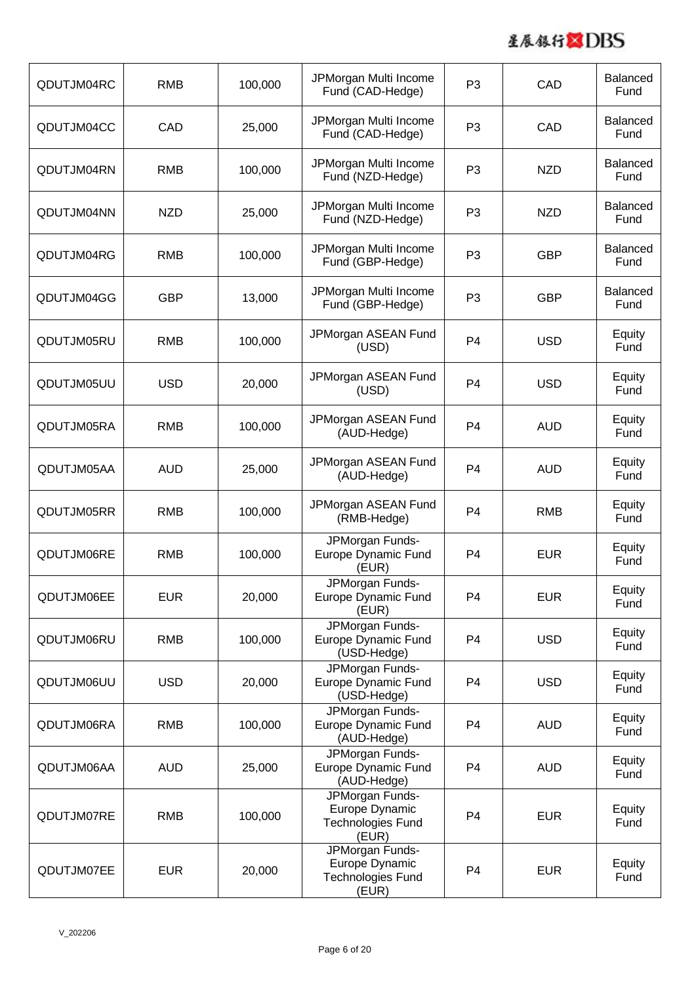

| QDUTJM04RC | <b>RMB</b> | 100,000 | JPMorgan Multi Income<br>Fund (CAD-Hedge)                       | P <sub>3</sub> | CAD        | <b>Balanced</b><br>Fund |
|------------|------------|---------|-----------------------------------------------------------------|----------------|------------|-------------------------|
| QDUTJM04CC | CAD        | 25,000  | JPMorgan Multi Income<br>Fund (CAD-Hedge)                       | P <sub>3</sub> | CAD        | <b>Balanced</b><br>Fund |
| QDUTJM04RN | <b>RMB</b> | 100,000 | JPMorgan Multi Income<br>Fund (NZD-Hedge)                       | P <sub>3</sub> | <b>NZD</b> | <b>Balanced</b><br>Fund |
| QDUTJM04NN | <b>NZD</b> | 25,000  | JPMorgan Multi Income<br>Fund (NZD-Hedge)                       | P <sub>3</sub> | <b>NZD</b> | <b>Balanced</b><br>Fund |
| QDUTJM04RG | <b>RMB</b> | 100,000 | JPMorgan Multi Income<br>Fund (GBP-Hedge)                       | P <sub>3</sub> | <b>GBP</b> | <b>Balanced</b><br>Fund |
| QDUTJM04GG | <b>GBP</b> | 13,000  | JPMorgan Multi Income<br>Fund (GBP-Hedge)                       | P <sub>3</sub> | <b>GBP</b> | <b>Balanced</b><br>Fund |
| QDUTJM05RU | <b>RMB</b> | 100,000 | JPMorgan ASEAN Fund<br>(USD)                                    | P <sub>4</sub> | <b>USD</b> | Equity<br>Fund          |
| QDUTJM05UU | <b>USD</b> | 20,000  | JPMorgan ASEAN Fund<br>(USD)                                    | P <sub>4</sub> | <b>USD</b> | Equity<br>Fund          |
| QDUTJM05RA | <b>RMB</b> | 100,000 | JPMorgan ASEAN Fund<br>(AUD-Hedge)                              | P <sub>4</sub> | <b>AUD</b> | Equity<br>Fund          |
| QDUTJM05AA | <b>AUD</b> | 25,000  | JPMorgan ASEAN Fund<br>(AUD-Hedge)                              | P <sub>4</sub> | <b>AUD</b> | Equity<br>Fund          |
| QDUTJM05RR | <b>RMB</b> | 100,000 | JPMorgan ASEAN Fund<br>(RMB-Hedge)                              | P <sub>4</sub> | <b>RMB</b> | Equity<br>Fund          |
| QDUTJM06RE | <b>RMB</b> | 100,000 | JPMorgan Funds-<br>Europe Dynamic Fund<br>(EUR)                 | P4             | <b>EUR</b> | Equity<br>Fund          |
| QDUTJM06EE | <b>EUR</b> | 20,000  | JPMorgan Funds-<br>Europe Dynamic Fund<br>(EUR)                 | P <sub>4</sub> | <b>EUR</b> | Equity<br>Fund          |
| QDUTJM06RU | <b>RMB</b> | 100,000 | JPMorgan Funds-<br>Europe Dynamic Fund<br>(USD-Hedge)           | P <sub>4</sub> | <b>USD</b> | Equity<br>Fund          |
| QDUTJM06UU | <b>USD</b> | 20,000  | JPMorgan Funds-<br>Europe Dynamic Fund<br>(USD-Hedge)           | P <sub>4</sub> | <b>USD</b> | Equity<br>Fund          |
| QDUTJM06RA | <b>RMB</b> | 100,000 | JPMorgan Funds-<br>Europe Dynamic Fund<br>(AUD-Hedge)           | P <sub>4</sub> | <b>AUD</b> | Equity<br>Fund          |
| QDUTJM06AA | <b>AUD</b> | 25,000  | JPMorgan Funds-<br>Europe Dynamic Fund<br>(AUD-Hedge)           | P <sub>4</sub> | <b>AUD</b> | Equity<br>Fund          |
| QDUTJM07RE | <b>RMB</b> | 100,000 | JPMorgan Funds-<br>Europe Dynamic<br>Technologies Fund<br>(EUR) | P <sub>4</sub> | <b>EUR</b> | Equity<br>Fund          |
| QDUTJM07EE | <b>EUR</b> | 20,000  | JPMorgan Funds-<br>Europe Dynamic<br>Technologies Fund<br>(EUR) | P <sub>4</sub> | <b>EUR</b> | Equity<br>Fund          |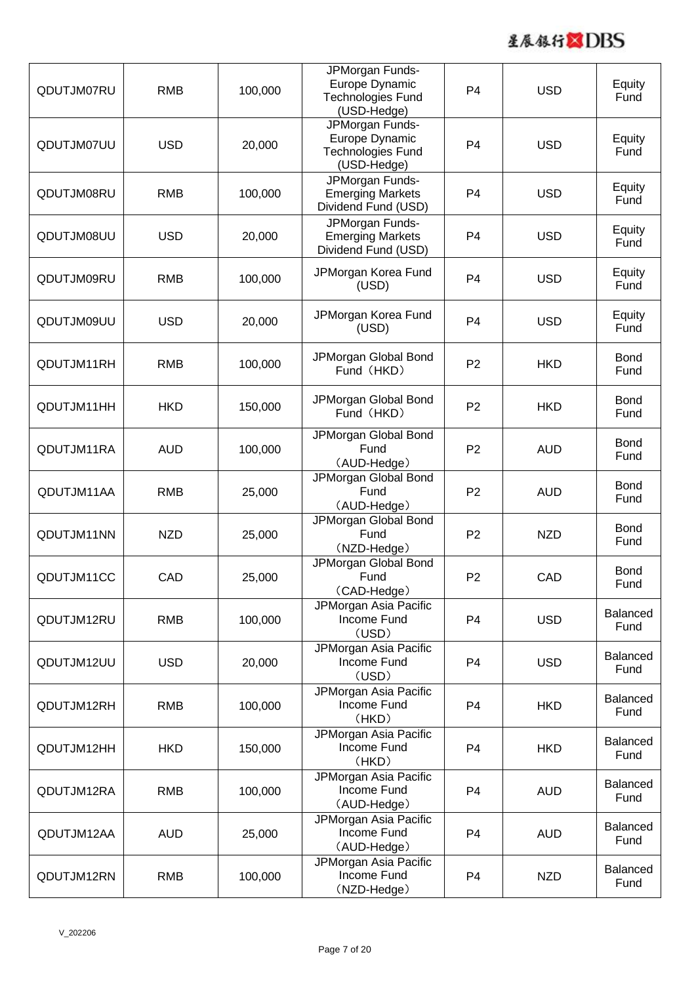

| QDUTJM07RU | <b>RMB</b> | 100,000 | JPMorgan Funds-<br>Europe Dynamic<br>Technologies Fund<br>(USD-Hedge)        | P <sub>4</sub> | <b>USD</b> | Equity<br>Fund          |
|------------|------------|---------|------------------------------------------------------------------------------|----------------|------------|-------------------------|
| QDUTJM07UU | <b>USD</b> | 20,000  | JPMorgan Funds-<br>Europe Dynamic<br><b>Technologies Fund</b><br>(USD-Hedge) | P <sub>4</sub> | <b>USD</b> | Equity<br>Fund          |
| QDUTJM08RU | <b>RMB</b> | 100,000 | JPMorgan Funds-<br><b>Emerging Markets</b><br>Dividend Fund (USD)            | P <sub>4</sub> | <b>USD</b> | Equity<br>Fund          |
| QDUTJM08UU | <b>USD</b> | 20,000  | JPMorgan Funds-<br><b>Emerging Markets</b><br>Dividend Fund (USD)            | P <sub>4</sub> | <b>USD</b> | Equity<br>Fund          |
| QDUTJM09RU | <b>RMB</b> | 100,000 | JPMorgan Korea Fund<br>(USD)                                                 | P <sub>4</sub> | <b>USD</b> | Equity<br>Fund          |
| QDUTJM09UU | <b>USD</b> | 20,000  | JPMorgan Korea Fund<br>(USD)                                                 | P <sub>4</sub> | <b>USD</b> | Equity<br>Fund          |
| QDUTJM11RH | <b>RMB</b> | 100,000 | JPMorgan Global Bond<br>Fund (HKD)                                           | P <sub>2</sub> | <b>HKD</b> | <b>Bond</b><br>Fund     |
| QDUTJM11HH | <b>HKD</b> | 150,000 | JPMorgan Global Bond<br>Fund (HKD)                                           | P <sub>2</sub> | <b>HKD</b> | <b>Bond</b><br>Fund     |
| QDUTJM11RA | <b>AUD</b> | 100,000 | JPMorgan Global Bond<br>Fund<br>(AUD-Hedge)                                  | P <sub>2</sub> | <b>AUD</b> | <b>Bond</b><br>Fund     |
| QDUTJM11AA | <b>RMB</b> | 25,000  | JPMorgan Global Bond<br>Fund<br>(AUD-Hedge)                                  | P <sub>2</sub> | <b>AUD</b> | <b>Bond</b><br>Fund     |
| QDUTJM11NN | <b>NZD</b> | 25,000  | JPMorgan Global Bond<br>Fund<br>(NZD-Hedge)                                  | P <sub>2</sub> | <b>NZD</b> | <b>Bond</b><br>Fund     |
| QDUTJM11CC | CAD        | 25,000  | JPMorgan Global Bond<br>Fund<br>(CAD-Hedge)                                  | P <sub>2</sub> | CAD        | <b>Bond</b><br>Fund     |
| QDUTJM12RU | <b>RMB</b> | 100,000 | JPMorgan Asia Pacific<br>Income Fund<br>(USD)                                | P <sub>4</sub> | <b>USD</b> | <b>Balanced</b><br>Fund |
| QDUTJM12UU | <b>USD</b> | 20,000  | JPMorgan Asia Pacific<br>Income Fund<br>(USD)                                | P <sub>4</sub> | <b>USD</b> | <b>Balanced</b><br>Fund |
| QDUTJM12RH | <b>RMB</b> | 100,000 | JPMorgan Asia Pacific<br>Income Fund<br>(HKD)                                | P <sub>4</sub> | <b>HKD</b> | <b>Balanced</b><br>Fund |
| QDUTJM12HH | <b>HKD</b> | 150,000 | JPMorgan Asia Pacific<br>Income Fund<br>(HKD)                                | P <sub>4</sub> | <b>HKD</b> | <b>Balanced</b><br>Fund |
| QDUTJM12RA | <b>RMB</b> | 100,000 | JPMorgan Asia Pacific<br>Income Fund<br>(AUD-Hedge)                          | P <sub>4</sub> | <b>AUD</b> | <b>Balanced</b><br>Fund |
| QDUTJM12AA | <b>AUD</b> | 25,000  | JPMorgan Asia Pacific<br>Income Fund<br>(AUD-Hedge)                          | P <sub>4</sub> | <b>AUD</b> | <b>Balanced</b><br>Fund |
| QDUTJM12RN | <b>RMB</b> | 100,000 | JPMorgan Asia Pacific<br>Income Fund<br>(NZD-Hedge)                          | P <sub>4</sub> | <b>NZD</b> | <b>Balanced</b><br>Fund |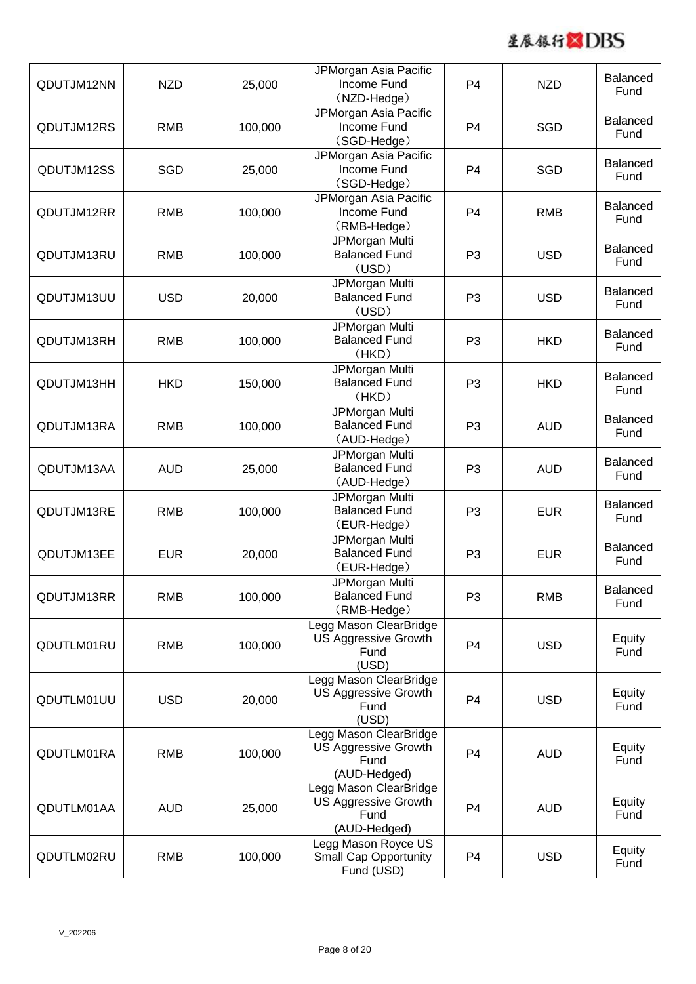

| QDUTJM12NN | <b>NZD</b> | 25,000  | JPMorgan Asia Pacific<br>Income Fund<br>(NZD-Hedge)                           | P <sub>4</sub> | <b>NZD</b> | <b>Balanced</b><br>Fund |
|------------|------------|---------|-------------------------------------------------------------------------------|----------------|------------|-------------------------|
| QDUTJM12RS | <b>RMB</b> | 100,000 | JPMorgan Asia Pacific<br>Income Fund<br>(SGD-Hedge)                           | P <sub>4</sub> | SGD        | <b>Balanced</b><br>Fund |
| QDUTJM12SS | <b>SGD</b> | 25,000  | JPMorgan Asia Pacific<br>Income Fund<br>(SGD-Hedge)                           | P <sub>4</sub> | SGD        | <b>Balanced</b><br>Fund |
| QDUTJM12RR | <b>RMB</b> | 100,000 | JPMorgan Asia Pacific<br>Income Fund<br>(RMB-Hedge)                           | P <sub>4</sub> | <b>RMB</b> | <b>Balanced</b><br>Fund |
| QDUTJM13RU | <b>RMB</b> | 100,000 | JPMorgan Multi<br><b>Balanced Fund</b><br>(USD)                               | P <sub>3</sub> | <b>USD</b> | <b>Balanced</b><br>Fund |
| QDUTJM13UU | <b>USD</b> | 20,000  | JPMorgan Multi<br><b>Balanced Fund</b><br>(USD)                               | P <sub>3</sub> | <b>USD</b> | <b>Balanced</b><br>Fund |
| QDUTJM13RH | <b>RMB</b> | 100,000 | JPMorgan Multi<br><b>Balanced Fund</b><br>(HKD)                               | P <sub>3</sub> | <b>HKD</b> | <b>Balanced</b><br>Fund |
| QDUTJM13HH | <b>HKD</b> | 150,000 | JPMorgan Multi<br><b>Balanced Fund</b><br>(HKD)                               | P <sub>3</sub> | <b>HKD</b> | <b>Balanced</b><br>Fund |
| QDUTJM13RA | <b>RMB</b> | 100,000 | JPMorgan Multi<br><b>Balanced Fund</b><br>(AUD-Hedge)                         | P <sub>3</sub> | <b>AUD</b> | <b>Balanced</b><br>Fund |
| QDUTJM13AA | <b>AUD</b> | 25,000  | <b>JPMorgan Multi</b><br><b>Balanced Fund</b><br>(AUD-Hedge)                  | P <sub>3</sub> | <b>AUD</b> | <b>Balanced</b><br>Fund |
| QDUTJM13RE | <b>RMB</b> | 100,000 | JPMorgan Multi<br><b>Balanced Fund</b><br>(EUR-Hedge)                         | P <sub>3</sub> | <b>EUR</b> | <b>Balanced</b><br>Fund |
| QDUTJM13EE | <b>EUR</b> | 20,000  | JPMorgan Multi<br><b>Balanced Fund</b><br>(EUR-Hedge)                         | P <sub>3</sub> | <b>EUR</b> | <b>Balanced</b><br>Fund |
| QDUTJM13RR | <b>RMB</b> | 100,000 | JPMorgan Multi<br><b>Balanced Fund</b><br>(RMB-Hedge)                         | P <sub>3</sub> | <b>RMB</b> | <b>Balanced</b><br>Fund |
| QDUTLM01RU | <b>RMB</b> | 100,000 | Legg Mason ClearBridge<br>US Aggressive Growth<br>Fund<br>(USD)               | P <sub>4</sub> | <b>USD</b> | Equity<br>Fund          |
| QDUTLM01UU | <b>USD</b> | 20,000  | Legg Mason ClearBridge<br><b>US Aggressive Growth</b><br>Fund<br>(USD)        | P <sub>4</sub> | <b>USD</b> | Equity<br>Fund          |
| QDUTLM01RA | <b>RMB</b> | 100,000 | Legg Mason ClearBridge<br><b>US Aggressive Growth</b><br>Fund<br>(AUD-Hedged) | P <sub>4</sub> | <b>AUD</b> | Equity<br>Fund          |
| QDUTLM01AA | <b>AUD</b> | 25,000  | Legg Mason ClearBridge<br>US Aggressive Growth<br>Fund<br>(AUD-Hedged)        | P <sub>4</sub> | <b>AUD</b> | Equity<br>Fund          |
| QDUTLM02RU | <b>RMB</b> | 100,000 | Legg Mason Royce US<br><b>Small Cap Opportunity</b><br>Fund (USD)             | P <sub>4</sub> | <b>USD</b> | Equity<br>Fund          |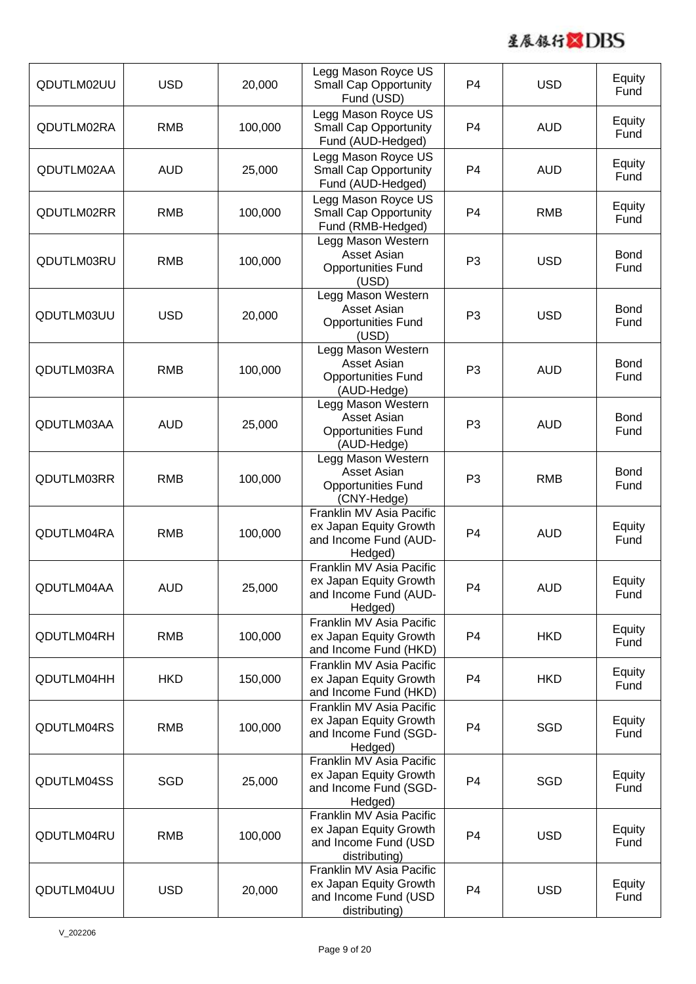

| QDUTLM02UU | <b>USD</b> | 20,000  | Legg Mason Royce US<br><b>Small Cap Opportunity</b><br>Fund (USD)                           | P <sub>4</sub> | <b>USD</b> | Equity<br>Fund      |
|------------|------------|---------|---------------------------------------------------------------------------------------------|----------------|------------|---------------------|
| QDUTLM02RA | <b>RMB</b> | 100,000 | Legg Mason Royce US<br><b>Small Cap Opportunity</b><br>Fund (AUD-Hedged)                    | P <sub>4</sub> | <b>AUD</b> | Equity<br>Fund      |
| QDUTLM02AA | <b>AUD</b> | 25,000  | Legg Mason Royce US<br><b>Small Cap Opportunity</b><br>Fund (AUD-Hedged)                    | P <sub>4</sub> | <b>AUD</b> | Equity<br>Fund      |
| QDUTLM02RR | <b>RMB</b> | 100,000 | Legg Mason Royce US<br><b>Small Cap Opportunity</b><br>Fund (RMB-Hedged)                    | P <sub>4</sub> | <b>RMB</b> | Equity<br>Fund      |
| QDUTLM03RU | <b>RMB</b> | 100,000 | Legg Mason Western<br>Asset Asian<br><b>Opportunities Fund</b><br>(USD)                     | P <sub>3</sub> | <b>USD</b> | <b>Bond</b><br>Fund |
| QDUTLM03UU | <b>USD</b> | 20,000  | Legg Mason Western<br>Asset Asian<br><b>Opportunities Fund</b><br>(USD)                     | P <sub>3</sub> | <b>USD</b> | <b>Bond</b><br>Fund |
| QDUTLM03RA | <b>RMB</b> | 100,000 | Legg Mason Western<br>Asset Asian<br><b>Opportunities Fund</b><br>(AUD-Hedge)               | P <sub>3</sub> | <b>AUD</b> | <b>Bond</b><br>Fund |
| QDUTLM03AA | <b>AUD</b> | 25,000  | Legg Mason Western<br>Asset Asian<br><b>Opportunities Fund</b><br>(AUD-Hedge)               | P <sub>3</sub> | <b>AUD</b> | <b>Bond</b><br>Fund |
| QDUTLM03RR | <b>RMB</b> | 100,000 | Legg Mason Western<br>Asset Asian<br><b>Opportunities Fund</b><br>(CNY-Hedge)               | P <sub>3</sub> | <b>RMB</b> | <b>Bond</b><br>Fund |
| QDUTLM04RA | <b>RMB</b> | 100,000 | Franklin MV Asia Pacific<br>ex Japan Equity Growth<br>and Income Fund (AUD-<br>Hedged)      | P <sub>4</sub> | <b>AUD</b> | Equity<br>Fund      |
| QDUTLM04AA | <b>AUD</b> | 25,000  | Franklin MV Asia Pacific<br>ex Japan Equity Growth<br>and Income Fund (AUD-<br>Hedged)      | P <sub>4</sub> | <b>AUD</b> | Equity<br>Fund      |
| QDUTLM04RH | <b>RMB</b> | 100,000 | Franklin MV Asia Pacific<br>ex Japan Equity Growth<br>and Income Fund (HKD)                 | P <sub>4</sub> | <b>HKD</b> | Equity<br>Fund      |
| QDUTLM04HH | <b>HKD</b> | 150,000 | Franklin MV Asia Pacific<br>ex Japan Equity Growth<br>and Income Fund (HKD)                 | P <sub>4</sub> | <b>HKD</b> | Equity<br>Fund      |
| QDUTLM04RS | <b>RMB</b> | 100,000 | Franklin MV Asia Pacific<br>ex Japan Equity Growth<br>and Income Fund (SGD-<br>Hedged)      | P <sub>4</sub> | SGD        | Equity<br>Fund      |
| QDUTLM04SS | SGD        | 25,000  | Franklin MV Asia Pacific<br>ex Japan Equity Growth<br>and Income Fund (SGD-<br>Hedged)      | P <sub>4</sub> | SGD        | Equity<br>Fund      |
| QDUTLM04RU | <b>RMB</b> | 100,000 | Franklin MV Asia Pacific<br>ex Japan Equity Growth<br>and Income Fund (USD<br>distributing) | P <sub>4</sub> | <b>USD</b> | Equity<br>Fund      |
| QDUTLM04UU | <b>USD</b> | 20,000  | Franklin MV Asia Pacific<br>ex Japan Equity Growth<br>and Income Fund (USD<br>distributing) | P <sub>4</sub> | <b>USD</b> | Equity<br>Fund      |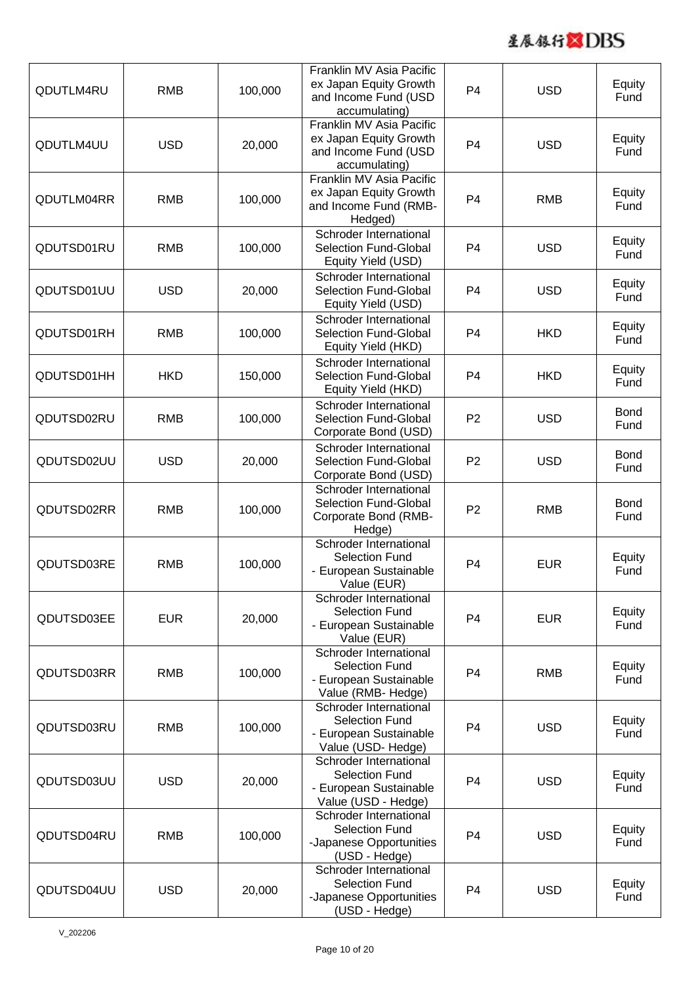

| QDUTLM4RU  | <b>RMB</b> | 100,000 | Franklin MV Asia Pacific<br>ex Japan Equity Growth<br>and Income Fund (USD<br>accumulating)      | P <sub>4</sub> | <b>USD</b> | Equity<br>Fund      |
|------------|------------|---------|--------------------------------------------------------------------------------------------------|----------------|------------|---------------------|
| QDUTLM4UU  | <b>USD</b> | 20,000  | Franklin MV Asia Pacific<br>ex Japan Equity Growth<br>and Income Fund (USD<br>accumulating)      | P <sub>4</sub> | <b>USD</b> | Equity<br>Fund      |
| QDUTLM04RR | <b>RMB</b> | 100,000 | Franklin MV Asia Pacific<br>ex Japan Equity Growth<br>and Income Fund (RMB-<br>Hedged)           | P <sub>4</sub> | <b>RMB</b> | Equity<br>Fund      |
| QDUTSD01RU | <b>RMB</b> | 100,000 | Schroder International<br>Selection Fund-Global<br>Equity Yield (USD)                            | P <sub>4</sub> | <b>USD</b> | Equity<br>Fund      |
| QDUTSD01UU | <b>USD</b> | 20,000  | Schroder International<br><b>Selection Fund-Global</b><br>Equity Yield (USD)                     | P <sub>4</sub> | <b>USD</b> | Equity<br>Fund      |
| QDUTSD01RH | <b>RMB</b> | 100,000 | Schroder International<br><b>Selection Fund-Global</b><br>Equity Yield (HKD)                     | P <sub>4</sub> | <b>HKD</b> | Equity<br>Fund      |
| QDUTSD01HH | <b>HKD</b> | 150,000 | Schroder International<br><b>Selection Fund-Global</b><br>Equity Yield (HKD)                     | P <sub>4</sub> | <b>HKD</b> | Equity<br>Fund      |
| QDUTSD02RU | <b>RMB</b> | 100,000 | Schroder International<br><b>Selection Fund-Global</b><br>Corporate Bond (USD)                   | P <sub>2</sub> | <b>USD</b> | <b>Bond</b><br>Fund |
| QDUTSD02UU | <b>USD</b> | 20,000  | Schroder International<br><b>Selection Fund-Global</b><br>Corporate Bond (USD)                   | P <sub>2</sub> | <b>USD</b> | <b>Bond</b><br>Fund |
| QDUTSD02RR | <b>RMB</b> | 100,000 | Schroder International<br>Selection Fund-Global<br>Corporate Bond (RMB-<br>Hedge)                | P <sub>2</sub> | <b>RMB</b> | <b>Bond</b><br>Fund |
| QDUTSD03RE | <b>RMB</b> | 100,000 | Schroder International<br><b>Selection Fund</b><br>- European Sustainable<br>Value (EUR)         | P <sub>4</sub> | <b>EUR</b> | Equity<br>Fund      |
| QDUTSD03EE | <b>EUR</b> | 20,000  | Schroder International<br><b>Selection Fund</b><br>- European Sustainable<br>Value (EUR)         | P <sub>4</sub> | <b>EUR</b> | Equity<br>Fund      |
| QDUTSD03RR | <b>RMB</b> | 100,000 | Schroder International<br><b>Selection Fund</b><br>- European Sustainable<br>Value (RMB- Hedge)  | P <sub>4</sub> | <b>RMB</b> | Equity<br>Fund      |
| QDUTSD03RU | <b>RMB</b> | 100,000 | Schroder International<br><b>Selection Fund</b><br>- European Sustainable<br>Value (USD-Hedge)   | P <sub>4</sub> | <b>USD</b> | Equity<br>Fund      |
| QDUTSD03UU | <b>USD</b> | 20,000  | Schroder International<br><b>Selection Fund</b><br>- European Sustainable<br>Value (USD - Hedge) | P <sub>4</sub> | <b>USD</b> | Equity<br>Fund      |
| QDUTSD04RU | <b>RMB</b> | 100,000 | Schroder International<br><b>Selection Fund</b><br>-Japanese Opportunities<br>(USD - Hedge)      | P <sub>4</sub> | <b>USD</b> | Equity<br>Fund      |
| QDUTSD04UU | <b>USD</b> | 20,000  | Schroder International<br><b>Selection Fund</b><br>-Japanese Opportunities<br>(USD - Hedge)      | P <sub>4</sub> | <b>USD</b> | Equity<br>Fund      |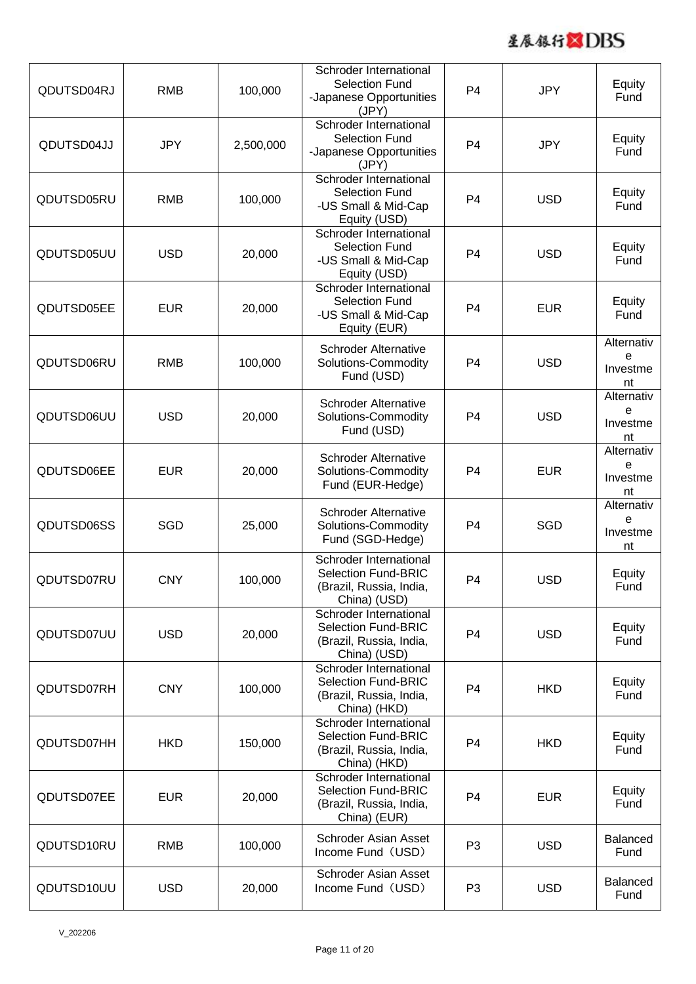

| QDUTSD04RJ | <b>RMB</b> | 100,000   | Schroder International<br><b>Selection Fund</b><br>-Japanese Opportunities<br>(JPY)             | P <sub>4</sub> | <b>JPY</b> | Equity<br>Fund                    |
|------------|------------|-----------|-------------------------------------------------------------------------------------------------|----------------|------------|-----------------------------------|
| QDUTSD04JJ | <b>JPY</b> | 2,500,000 | Schroder International<br><b>Selection Fund</b><br>-Japanese Opportunities<br>(JPY)             | P <sub>4</sub> | <b>JPY</b> | Equity<br>Fund                    |
| QDUTSD05RU | <b>RMB</b> | 100,000   | Schroder International<br><b>Selection Fund</b><br>-US Small & Mid-Cap<br>Equity (USD)          | P <sub>4</sub> | <b>USD</b> | Equity<br>Fund                    |
| QDUTSD05UU | <b>USD</b> | 20,000    | Schroder International<br><b>Selection Fund</b><br>-US Small & Mid-Cap<br>Equity (USD)          | P <sub>4</sub> | <b>USD</b> | Equity<br>Fund                    |
| QDUTSD05EE | <b>EUR</b> | 20,000    | Schroder International<br><b>Selection Fund</b><br>-US Small & Mid-Cap<br>Equity (EUR)          | P <sub>4</sub> | <b>EUR</b> | Equity<br>Fund                    |
| QDUTSD06RU | <b>RMB</b> | 100,000   | <b>Schroder Alternative</b><br>Solutions-Commodity<br>Fund (USD)                                | P <sub>4</sub> | <b>USD</b> | Alternativ<br>e<br>Investme<br>nt |
| QDUTSD06UU | <b>USD</b> | 20,000    | <b>Schroder Alternative</b><br>Solutions-Commodity<br>Fund (USD)                                | P <sub>4</sub> | <b>USD</b> | Alternativ<br>e<br>Investme<br>nt |
| QDUTSD06EE | <b>EUR</b> | 20,000    | <b>Schroder Alternative</b><br>Solutions-Commodity<br>Fund (EUR-Hedge)                          | P <sub>4</sub> | <b>EUR</b> | Alternativ<br>e<br>Investme<br>nt |
| QDUTSD06SS | SGD        | 25,000    | <b>Schroder Alternative</b><br>Solutions-Commodity<br>Fund (SGD-Hedge)                          | P <sub>4</sub> | SGD        | Alternativ<br>e<br>Investme<br>nt |
| QDUTSD07RU | <b>CNY</b> | 100,000   | Schroder International<br><b>Selection Fund-BRIC</b><br>(Brazil, Russia, India,<br>China) (USD) | P <sub>4</sub> | <b>USD</b> | Equity<br>Fund                    |
| QDUTSD07UU | <b>USD</b> | 20,000    | Schroder International<br><b>Selection Fund-BRIC</b><br>(Brazil, Russia, India,<br>China) (USD) | P <sub>4</sub> | <b>USD</b> | Equity<br>Fund                    |
| QDUTSD07RH | <b>CNY</b> | 100,000   | Schroder International<br><b>Selection Fund-BRIC</b><br>(Brazil, Russia, India,<br>China) (HKD) | P <sub>4</sub> | <b>HKD</b> | Equity<br>Fund                    |
| QDUTSD07HH | <b>HKD</b> | 150,000   | Schroder International<br><b>Selection Fund-BRIC</b><br>(Brazil, Russia, India,<br>China) (HKD) | P <sub>4</sub> | <b>HKD</b> | Equity<br>Fund                    |
| QDUTSD07EE | <b>EUR</b> | 20,000    | Schroder International<br>Selection Fund-BRIC<br>(Brazil, Russia, India,<br>China) (EUR)        | P <sub>4</sub> | <b>EUR</b> | Equity<br>Fund                    |
| QDUTSD10RU | <b>RMB</b> | 100,000   | Schroder Asian Asset<br>Income Fund (USD)                                                       | P <sub>3</sub> | <b>USD</b> | Balanced<br>Fund                  |
| QDUTSD10UU | <b>USD</b> | 20,000    | Schroder Asian Asset<br>Income Fund (USD)                                                       | P <sub>3</sub> | <b>USD</b> | Balanced<br>Fund                  |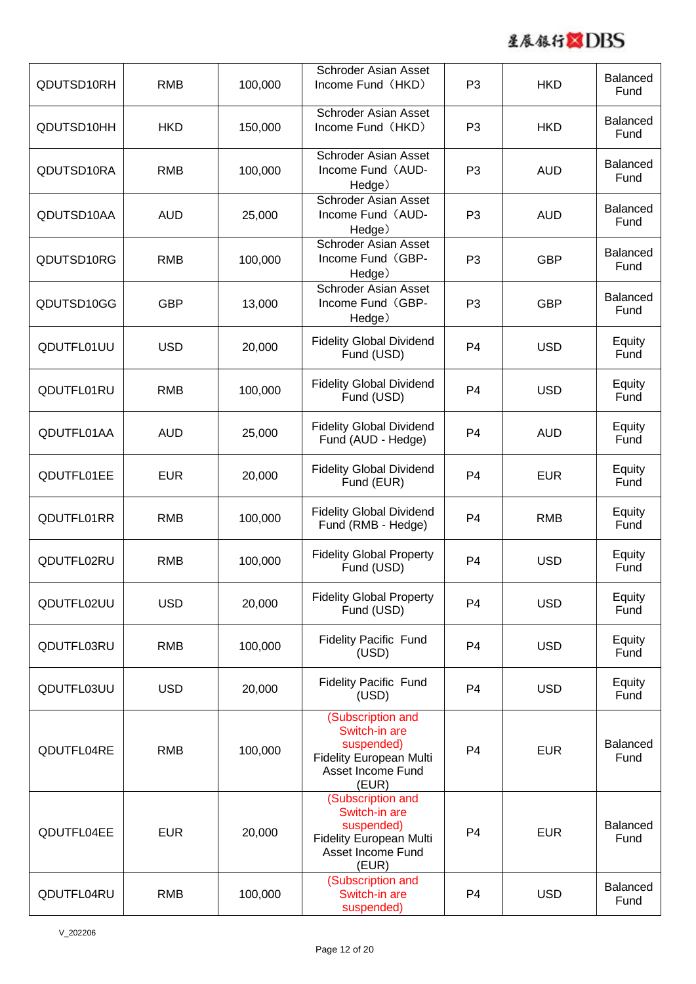

| QDUTSD10RH | <b>RMB</b> | 100,000 | Schroder Asian Asset<br>Income Fund (HKD)                                                                 | P <sub>3</sub> | <b>HKD</b> | <b>Balanced</b><br>Fund |
|------------|------------|---------|-----------------------------------------------------------------------------------------------------------|----------------|------------|-------------------------|
| QDUTSD10HH | <b>HKD</b> | 150,000 | Schroder Asian Asset<br>Income Fund (HKD)                                                                 | P <sub>3</sub> | <b>HKD</b> | <b>Balanced</b><br>Fund |
| QDUTSD10RA | <b>RMB</b> | 100,000 | Schroder Asian Asset<br>Income Fund (AUD-<br>Hedge)                                                       | P <sub>3</sub> | <b>AUD</b> | <b>Balanced</b><br>Fund |
| QDUTSD10AA | <b>AUD</b> | 25,000  | <b>Schroder Asian Asset</b><br>Income Fund (AUD-<br>Hedge)                                                | P <sub>3</sub> | <b>AUD</b> | <b>Balanced</b><br>Fund |
| QDUTSD10RG | <b>RMB</b> | 100,000 | <b>Schroder Asian Asset</b><br>Income Fund (GBP-<br>Hedge)                                                | P <sub>3</sub> | <b>GBP</b> | Balanced<br>Fund        |
| QDUTSD10GG | <b>GBP</b> | 13,000  | Schroder Asian Asset<br>Income Fund (GBP-<br>Hedge)                                                       | P <sub>3</sub> | <b>GBP</b> | <b>Balanced</b><br>Fund |
| QDUTFL01UU | <b>USD</b> | 20,000  | <b>Fidelity Global Dividend</b><br>Fund (USD)                                                             | P <sub>4</sub> | <b>USD</b> | Equity<br>Fund          |
| QDUTFL01RU | <b>RMB</b> | 100,000 | <b>Fidelity Global Dividend</b><br>Fund (USD)                                                             | P <sub>4</sub> | <b>USD</b> | Equity<br>Fund          |
| QDUTFL01AA | <b>AUD</b> | 25,000  | <b>Fidelity Global Dividend</b><br>Fund (AUD - Hedge)                                                     | P <sub>4</sub> | <b>AUD</b> | Equity<br>Fund          |
| QDUTFL01EE | <b>EUR</b> | 20,000  | <b>Fidelity Global Dividend</b><br>Fund (EUR)                                                             | P <sub>4</sub> | <b>EUR</b> | Equity<br>Fund          |
| QDUTFL01RR | <b>RMB</b> | 100,000 | <b>Fidelity Global Dividend</b><br>Fund (RMB - Hedge)                                                     | P <sub>4</sub> | <b>RMB</b> | Equity<br>Fund          |
| QDUTFL02RU | <b>RMB</b> | 100,000 | <b>Fidelity Global Property</b><br>Fund (USD)                                                             | P <sub>4</sub> | <b>USD</b> | Equity<br>Fund          |
| QDUTFL02UU | <b>USD</b> | 20,000  | <b>Fidelity Global Property</b><br>Fund (USD)                                                             | P <sub>4</sub> | <b>USD</b> | Equity<br>Fund          |
| QDUTFL03RU | <b>RMB</b> | 100,000 | <b>Fidelity Pacific Fund</b><br>(USD)                                                                     | P <sub>4</sub> | <b>USD</b> | Equity<br>Fund          |
| QDUTFL03UU | <b>USD</b> | 20,000  | <b>Fidelity Pacific Fund</b><br>(USD)                                                                     | P <sub>4</sub> | <b>USD</b> | Equity<br>Fund          |
| QDUTFL04RE | <b>RMB</b> | 100,000 | (Subscription and<br>Switch-in are<br>suspended)<br>Fidelity European Multi<br>Asset Income Fund<br>(EUR) | P <sub>4</sub> | <b>EUR</b> | <b>Balanced</b><br>Fund |
| QDUTFL04EE | <b>EUR</b> | 20,000  | (Subscription and<br>Switch-in are<br>suspended)<br>Fidelity European Multi<br>Asset Income Fund<br>(EUR) | P <sub>4</sub> | <b>EUR</b> | <b>Balanced</b><br>Fund |
| QDUTFL04RU | <b>RMB</b> | 100,000 | (Subscription and<br>Switch-in are<br>suspended)                                                          | P <sub>4</sub> | <b>USD</b> | <b>Balanced</b><br>Fund |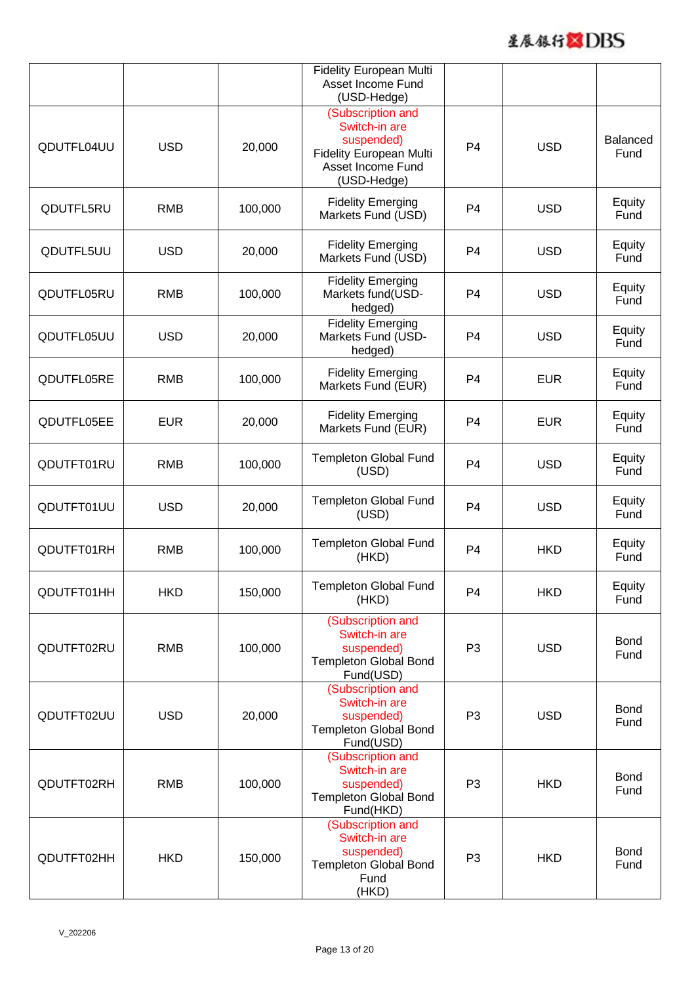

|            |            |         | Fidelity European Multi<br>Asset Income Fund<br>(USD-Hedge)                                                            |                |            |                         |
|------------|------------|---------|------------------------------------------------------------------------------------------------------------------------|----------------|------------|-------------------------|
| QDUTFL04UU | <b>USD</b> | 20,000  | (Subscription and<br>Switch-in are<br>suspended)<br><b>Fidelity European Multi</b><br>Asset Income Fund<br>(USD-Hedge) | P <sub>4</sub> | <b>USD</b> | <b>Balanced</b><br>Fund |
| QDUTFL5RU  | <b>RMB</b> | 100,000 | <b>Fidelity Emerging</b><br>Markets Fund (USD)                                                                         | P <sub>4</sub> | <b>USD</b> | Equity<br>Fund          |
| QDUTFL5UU  | <b>USD</b> | 20,000  | <b>Fidelity Emerging</b><br>Markets Fund (USD)                                                                         | P <sub>4</sub> | <b>USD</b> | Equity<br>Fund          |
| QDUTFL05RU | <b>RMB</b> | 100,000 | <b>Fidelity Emerging</b><br>Markets fund(USD-<br>hedged)                                                               | P4             | <b>USD</b> | Equity<br>Fund          |
| QDUTFL05UU | <b>USD</b> | 20,000  | <b>Fidelity Emerging</b><br>Markets Fund (USD-<br>hedged)                                                              | P4             | <b>USD</b> | Equity<br>Fund          |
| QDUTFL05RE | <b>RMB</b> | 100,000 | <b>Fidelity Emerging</b><br>Markets Fund (EUR)                                                                         | P <sub>4</sub> | <b>EUR</b> | Equity<br>Fund          |
| QDUTFL05EE | <b>EUR</b> | 20,000  | <b>Fidelity Emerging</b><br>Markets Fund (EUR)                                                                         | P <sub>4</sub> | <b>EUR</b> | Equity<br>Fund          |
| QDUTFT01RU | <b>RMB</b> | 100,000 | Templeton Global Fund<br>(USD)                                                                                         | P <sub>4</sub> | <b>USD</b> | Equity<br>Fund          |
| QDUTFT01UU | <b>USD</b> | 20,000  | Templeton Global Fund<br>(USD)                                                                                         | P <sub>4</sub> | <b>USD</b> | Equity<br>Fund          |
| QDUTFT01RH | <b>RMB</b> | 100,000 | <b>Templeton Global Fund</b><br>(HKD)                                                                                  | P <sub>4</sub> | <b>HKD</b> | Equity<br>Fund          |
| QDUTFT01HH | <b>HKD</b> | 150,000 | Templeton Global Fund<br>(HKD)                                                                                         | P <sub>4</sub> | <b>HKD</b> | Equity<br>Fund          |
| QDUTFT02RU | <b>RMB</b> | 100,000 | (Subscription and<br>Switch-in are<br>suspended)<br>Templeton Global Bond<br>Fund(USD)                                 | P <sub>3</sub> | <b>USD</b> | <b>Bond</b><br>Fund     |
| QDUTFT02UU | <b>USD</b> | 20,000  | (Subscription and<br>Switch-in are<br>suspended)<br><b>Templeton Global Bond</b><br>Fund(USD)                          | P <sub>3</sub> | <b>USD</b> | <b>Bond</b><br>Fund     |
| QDUTFT02RH | <b>RMB</b> | 100,000 | (Subscription and<br>Switch-in are<br>suspended)<br>Templeton Global Bond<br>Fund(HKD)                                 | P <sub>3</sub> | <b>HKD</b> | <b>Bond</b><br>Fund     |
| QDUTFT02HH | <b>HKD</b> | 150,000 | (Subscription and<br>Switch-in are<br>suspended)<br>Templeton Global Bond<br>Fund<br>(HKD)                             | P <sub>3</sub> | <b>HKD</b> | <b>Bond</b><br>Fund     |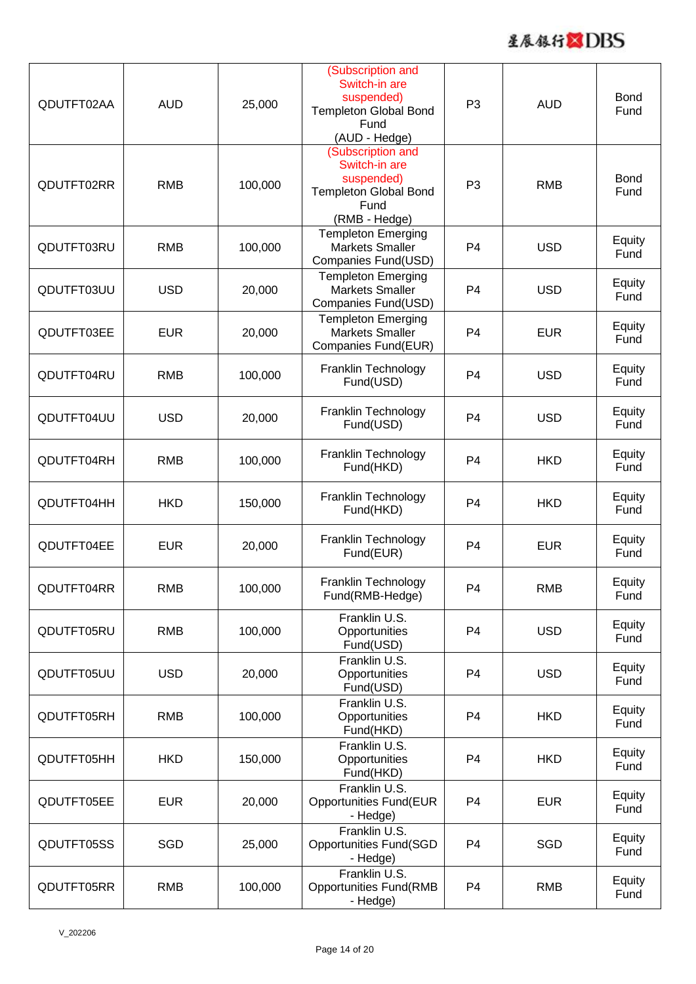

| QDUTFT02AA | <b>AUD</b> | 25,000  | (Subscription and<br>Switch-in are<br>suspended)<br><b>Templeton Global Bond</b><br>Fund<br>(AUD - Hedge) | P <sub>3</sub> | <b>AUD</b> | <b>Bond</b><br>Fund |
|------------|------------|---------|-----------------------------------------------------------------------------------------------------------|----------------|------------|---------------------|
| QDUTFT02RR | <b>RMB</b> | 100,000 | (Subscription and<br>Switch-in are<br>suspended)<br><b>Templeton Global Bond</b><br>Fund<br>(RMB - Hedge) | P <sub>3</sub> | <b>RMB</b> | <b>Bond</b><br>Fund |
| QDUTFT03RU | <b>RMB</b> | 100,000 | <b>Templeton Emerging</b><br><b>Markets Smaller</b><br>Companies Fund(USD)                                | P <sub>4</sub> | <b>USD</b> | Equity<br>Fund      |
| QDUTFT03UU | <b>USD</b> | 20,000  | <b>Templeton Emerging</b><br><b>Markets Smaller</b><br>Companies Fund(USD)                                | P <sub>4</sub> | <b>USD</b> | Equity<br>Fund      |
| QDUTFT03EE | <b>EUR</b> | 20,000  | <b>Templeton Emerging</b><br><b>Markets Smaller</b><br>Companies Fund(EUR)                                | P <sub>4</sub> | <b>EUR</b> | Equity<br>Fund      |
| QDUTFT04RU | <b>RMB</b> | 100,000 | Franklin Technology<br>Fund(USD)                                                                          | P <sub>4</sub> | <b>USD</b> | Equity<br>Fund      |
| QDUTFT04UU | <b>USD</b> | 20,000  | Franklin Technology<br>Fund(USD)                                                                          | P <sub>4</sub> | <b>USD</b> | Equity<br>Fund      |
| QDUTFT04RH | <b>RMB</b> | 100,000 | Franklin Technology<br>Fund(HKD)                                                                          | P <sub>4</sub> | <b>HKD</b> | Equity<br>Fund      |
| QDUTFT04HH | <b>HKD</b> | 150,000 | Franklin Technology<br>Fund(HKD)                                                                          | P <sub>4</sub> | <b>HKD</b> | Equity<br>Fund      |
| QDUTFT04EE | <b>EUR</b> | 20,000  | Franklin Technology<br>Fund(EUR)                                                                          | P <sub>4</sub> | <b>EUR</b> | Equity<br>Fund      |
| QDUTFT04RR | <b>RMB</b> | 100,000 | Franklin Technology<br>Fund(RMB-Hedge)                                                                    | P <sub>4</sub> | RMB        | Equity<br>Fund      |
| QDUTFT05RU | <b>RMB</b> | 100,000 | Franklin U.S.<br>Opportunities<br>Fund(USD)                                                               | P <sub>4</sub> | <b>USD</b> | Equity<br>Fund      |
| QDUTFT05UU | <b>USD</b> | 20,000  | Franklin U.S.<br>Opportunities<br>Fund(USD)                                                               | P <sub>4</sub> | <b>USD</b> | Equity<br>Fund      |
| QDUTFT05RH | <b>RMB</b> | 100,000 | Franklin U.S.<br>Opportunities<br>Fund(HKD)                                                               | P <sub>4</sub> | <b>HKD</b> | Equity<br>Fund      |
| QDUTFT05HH | <b>HKD</b> | 150,000 | Franklin U.S.<br>Opportunities<br>Fund(HKD)                                                               | P <sub>4</sub> | <b>HKD</b> | Equity<br>Fund      |
| QDUTFT05EE | <b>EUR</b> | 20,000  | Franklin U.S.<br><b>Opportunities Fund(EUR</b><br>- Hedge)                                                | P <sub>4</sub> | <b>EUR</b> | Equity<br>Fund      |
| QDUTFT05SS | <b>SGD</b> | 25,000  | Franklin U.S.<br><b>Opportunities Fund(SGD</b><br>- Hedge)                                                | P <sub>4</sub> | <b>SGD</b> | Equity<br>Fund      |
| QDUTFT05RR | <b>RMB</b> | 100,000 | Franklin U.S.<br><b>Opportunities Fund(RMB</b><br>- Hedge)                                                | P <sub>4</sub> | <b>RMB</b> | Equity<br>Fund      |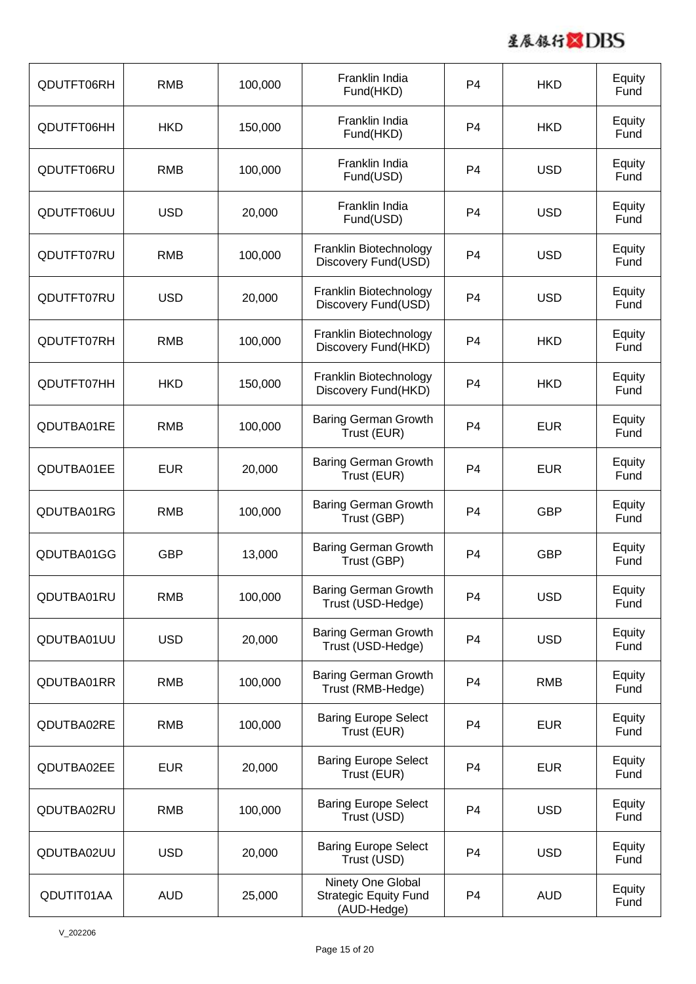

| QDUTFT06RH | <b>RMB</b> | 100,000 | Franklin India<br>Fund(HKD)                                      | P <sub>4</sub> | <b>HKD</b> | Equity<br>Fund |
|------------|------------|---------|------------------------------------------------------------------|----------------|------------|----------------|
| QDUTFT06HH | <b>HKD</b> | 150,000 | Franklin India<br>Fund(HKD)                                      | P <sub>4</sub> | <b>HKD</b> | Equity<br>Fund |
| QDUTFT06RU | <b>RMB</b> | 100,000 | Franklin India<br>Fund(USD)                                      | P <sub>4</sub> | <b>USD</b> | Equity<br>Fund |
| QDUTFT06UU | <b>USD</b> | 20,000  | Franklin India<br>Fund(USD)                                      | P <sub>4</sub> | <b>USD</b> | Equity<br>Fund |
| QDUTFT07RU | <b>RMB</b> | 100,000 | Franklin Biotechnology<br>Discovery Fund(USD)                    | P <sub>4</sub> | <b>USD</b> | Equity<br>Fund |
| QDUTFT07RU | <b>USD</b> | 20,000  | Franklin Biotechnology<br>Discovery Fund(USD)                    | P <sub>4</sub> | <b>USD</b> | Equity<br>Fund |
| QDUTFT07RH | <b>RMB</b> | 100,000 | Franklin Biotechnology<br>Discovery Fund(HKD)                    | P <sub>4</sub> | <b>HKD</b> | Equity<br>Fund |
| QDUTFT07HH | <b>HKD</b> | 150,000 | Franklin Biotechnology<br>Discovery Fund(HKD)                    | P <sub>4</sub> | <b>HKD</b> | Equity<br>Fund |
| QDUTBA01RE | <b>RMB</b> | 100,000 | <b>Baring German Growth</b><br>Trust (EUR)                       | P <sub>4</sub> | <b>EUR</b> | Equity<br>Fund |
| QDUTBA01EE | <b>EUR</b> | 20,000  | <b>Baring German Growth</b><br>Trust (EUR)                       | P <sub>4</sub> | <b>EUR</b> | Equity<br>Fund |
| QDUTBA01RG | <b>RMB</b> | 100,000 | <b>Baring German Growth</b><br>Trust (GBP)                       | P <sub>4</sub> | <b>GBP</b> | Equity<br>Fund |
| QDUTBA01GG | <b>GBP</b> | 13,000  | <b>Baring German Growth</b><br>Trust (GBP)                       | P <sub>4</sub> | <b>GBP</b> | Equity<br>Fund |
| QDUTBA01RU | <b>RMB</b> | 100,000 | <b>Baring German Growth</b><br>Trust (USD-Hedge)                 | P <sub>4</sub> | <b>USD</b> | Equity<br>Fund |
| QDUTBA01UU | <b>USD</b> | 20,000  | <b>Baring German Growth</b><br>Trust (USD-Hedge)                 | P <sub>4</sub> | <b>USD</b> | Equity<br>Fund |
| QDUTBA01RR | <b>RMB</b> | 100,000 | <b>Baring German Growth</b><br>Trust (RMB-Hedge)                 | P <sub>4</sub> | <b>RMB</b> | Equity<br>Fund |
| QDUTBA02RE | <b>RMB</b> | 100,000 | <b>Baring Europe Select</b><br>Trust (EUR)                       | P <sub>4</sub> | <b>EUR</b> | Equity<br>Fund |
| QDUTBA02EE | <b>EUR</b> | 20,000  | <b>Baring Europe Select</b><br>Trust (EUR)                       | P <sub>4</sub> | <b>EUR</b> | Equity<br>Fund |
| QDUTBA02RU | <b>RMB</b> | 100,000 | <b>Baring Europe Select</b><br>Trust (USD)                       | P <sub>4</sub> | <b>USD</b> | Equity<br>Fund |
| QDUTBA02UU | <b>USD</b> | 20,000  | <b>Baring Europe Select</b><br>Trust (USD)                       | P <sub>4</sub> | <b>USD</b> | Equity<br>Fund |
| QDUTIT01AA | <b>AUD</b> | 25,000  | Ninety One Global<br><b>Strategic Equity Fund</b><br>(AUD-Hedge) | P <sub>4</sub> | <b>AUD</b> | Equity<br>Fund |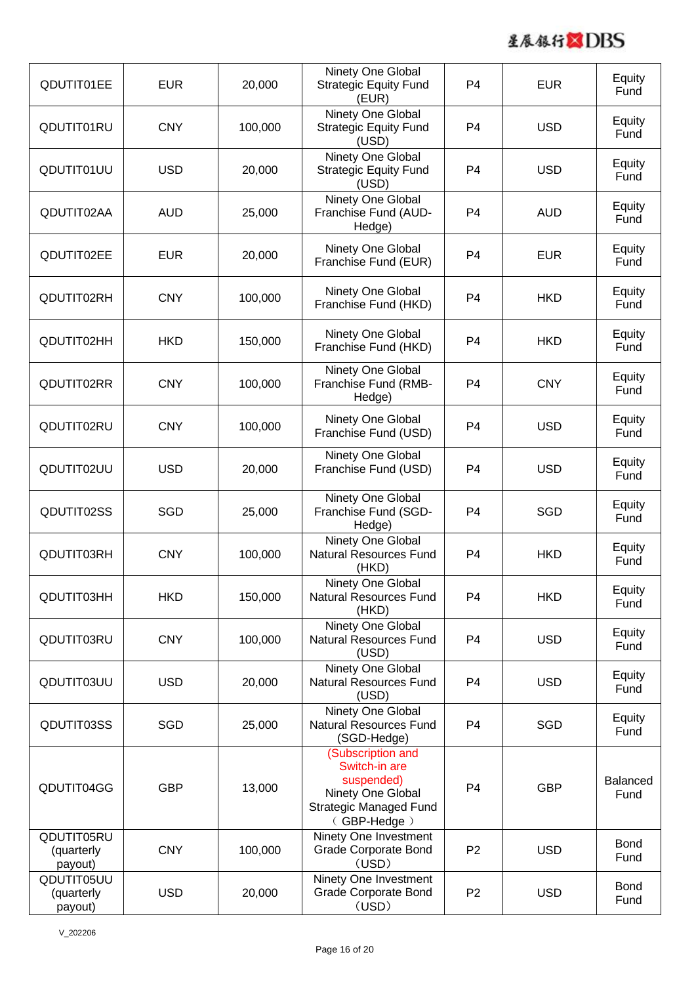

| QDUTIT01EE                          | <b>EUR</b> | 20,000  | Ninety One Global<br><b>Strategic Equity Fund</b><br>(EUR)                                                            | P <sub>4</sub> | <b>EUR</b> | Equity<br>Fund          |
|-------------------------------------|------------|---------|-----------------------------------------------------------------------------------------------------------------------|----------------|------------|-------------------------|
| QDUTIT01RU                          | <b>CNY</b> | 100,000 | Ninety One Global<br><b>Strategic Equity Fund</b><br>(USD)                                                            | P <sub>4</sub> | <b>USD</b> | Equity<br>Fund          |
| QDUTIT01UU                          | <b>USD</b> | 20,000  | Ninety One Global<br><b>Strategic Equity Fund</b><br>(USD)                                                            | P <sub>4</sub> | <b>USD</b> | Equity<br>Fund          |
| QDUTIT02AA                          | <b>AUD</b> | 25,000  | Ninety One Global<br>Franchise Fund (AUD-<br>Hedge)                                                                   | P <sub>4</sub> | <b>AUD</b> | Equity<br>Fund          |
| QDUTIT02EE                          | <b>EUR</b> | 20,000  | Ninety One Global<br>Franchise Fund (EUR)                                                                             | P <sub>4</sub> | <b>EUR</b> | Equity<br>Fund          |
| QDUTIT02RH                          | <b>CNY</b> | 100,000 | Ninety One Global<br>Franchise Fund (HKD)                                                                             | P <sub>4</sub> | <b>HKD</b> | Equity<br>Fund          |
| QDUTIT02HH                          | <b>HKD</b> | 150,000 | Ninety One Global<br>Franchise Fund (HKD)                                                                             | P <sub>4</sub> | <b>HKD</b> | Equity<br>Fund          |
| QDUTIT02RR                          | <b>CNY</b> | 100,000 | Ninety One Global<br>Franchise Fund (RMB-<br>Hedge)                                                                   | P <sub>4</sub> | <b>CNY</b> | Equity<br>Fund          |
| QDUTIT02RU                          | <b>CNY</b> | 100,000 | Ninety One Global<br>Franchise Fund (USD)                                                                             | P <sub>4</sub> | <b>USD</b> | Equity<br>Fund          |
| QDUTIT02UU                          | <b>USD</b> | 20,000  | Ninety One Global<br>Franchise Fund (USD)                                                                             | P <sub>4</sub> | <b>USD</b> | Equity<br>Fund          |
| QDUTIT02SS                          | SGD        | 25,000  | Ninety One Global<br>Franchise Fund (SGD-<br>Hedge)                                                                   | P <sub>4</sub> | <b>SGD</b> | Equity<br>Fund          |
| QDUTIT03RH                          | <b>CNY</b> | 100,000 | Ninety One Global<br><b>Natural Resources Fund</b><br>(HKD)                                                           | P <sub>4</sub> | <b>HKD</b> | Equity<br>Fund          |
| QDUTIT03HH                          | <b>HKD</b> | 150,000 | Ninety One Global<br><b>Natural Resources Fund</b><br>(HKD)                                                           | P <sub>4</sub> | <b>HKD</b> | Equity<br>Fund          |
| QDUTIT03RU                          | <b>CNY</b> | 100,000 | Ninety One Global<br><b>Natural Resources Fund</b><br>(USD)                                                           | P <sub>4</sub> | <b>USD</b> | Equity<br>Fund          |
| QDUTIT03UU                          | <b>USD</b> | 20,000  | Ninety One Global<br><b>Natural Resources Fund</b><br>(USD)                                                           | P <sub>4</sub> | <b>USD</b> | Equity<br>Fund          |
| QDUTIT03SS                          | SGD        | 25,000  | Ninety One Global<br><b>Natural Resources Fund</b><br>(SGD-Hedge)                                                     | P <sub>4</sub> | SGD        | Equity<br>Fund          |
| QDUTIT04GG                          | <b>GBP</b> | 13,000  | (Subscription and<br>Switch-in are<br>suspended)<br>Ninety One Global<br><b>Strategic Managed Fund</b><br>(GBP-Hedge) | P <sub>4</sub> | <b>GBP</b> | <b>Balanced</b><br>Fund |
| QDUTIT05RU<br>(quarterly<br>payout) | <b>CNY</b> | 100,000 | Ninety One Investment<br><b>Grade Corporate Bond</b><br>(USD)                                                         | P <sub>2</sub> | <b>USD</b> | <b>Bond</b><br>Fund     |
| QDUTIT05UU<br>(quarterly<br>payout) | <b>USD</b> | 20,000  | Ninety One Investment<br><b>Grade Corporate Bond</b><br>(USD)                                                         | P <sub>2</sub> | <b>USD</b> | <b>Bond</b><br>Fund     |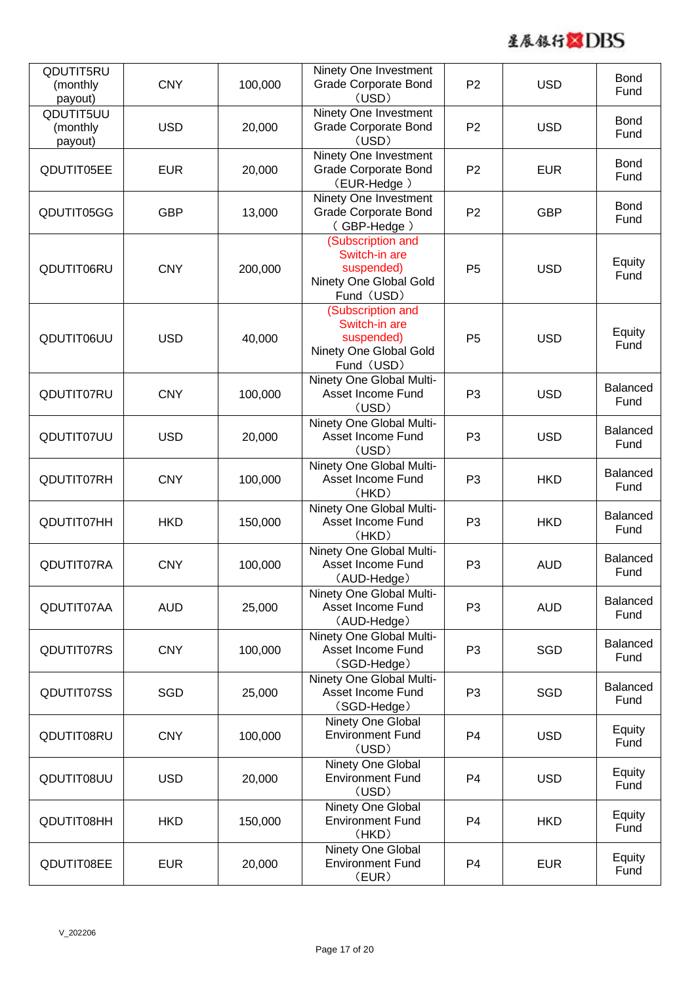

| QDUTIT5RU<br>(monthly<br>payout) | <b>CNY</b> | 100,000 | Ninety One Investment<br><b>Grade Corporate Bond</b><br>(USD)                            | P <sub>2</sub> | <b>USD</b> | <b>Bond</b><br>Fund     |
|----------------------------------|------------|---------|------------------------------------------------------------------------------------------|----------------|------------|-------------------------|
| QDUTIT5UU<br>(monthly<br>payout) | <b>USD</b> | 20,000  | Ninety One Investment<br><b>Grade Corporate Bond</b><br>(USD)                            | P <sub>2</sub> | <b>USD</b> | <b>Bond</b><br>Fund     |
| QDUTIT05EE                       | <b>EUR</b> | 20,000  | Ninety One Investment<br><b>Grade Corporate Bond</b><br>(EUR-Hedge)                      | P <sub>2</sub> | <b>EUR</b> | <b>Bond</b><br>Fund     |
| QDUTIT05GG                       | <b>GBP</b> | 13,000  | Ninety One Investment<br><b>Grade Corporate Bond</b><br>(GBP-Hedge)                      | P <sub>2</sub> | <b>GBP</b> | <b>Bond</b><br>Fund     |
| QDUTIT06RU                       | <b>CNY</b> | 200,000 | (Subscription and<br>Switch-in are<br>suspended)<br>Ninety One Global Gold<br>Fund (USD) | P <sub>5</sub> | <b>USD</b> | Equity<br>Fund          |
| QDUTIT06UU                       | <b>USD</b> | 40,000  | (Subscription and<br>Switch-in are<br>suspended)<br>Ninety One Global Gold<br>Fund (USD) | P <sub>5</sub> | <b>USD</b> | Equity<br>Fund          |
| QDUTIT07RU                       | <b>CNY</b> | 100,000 | Ninety One Global Multi-<br>Asset Income Fund<br>(USD)                                   | P <sub>3</sub> | <b>USD</b> | <b>Balanced</b><br>Fund |
| QDUTIT07UU                       | <b>USD</b> | 20,000  | Ninety One Global Multi-<br>Asset Income Fund<br>(USD)                                   | P <sub>3</sub> | <b>USD</b> | Balanced<br>Fund        |
| QDUTIT07RH                       | <b>CNY</b> | 100,000 | Ninety One Global Multi-<br>Asset Income Fund<br>(HKD)                                   | P <sub>3</sub> | <b>HKD</b> | <b>Balanced</b><br>Fund |
| QDUTIT07HH                       | <b>HKD</b> | 150,000 | Ninety One Global Multi-<br>Asset Income Fund<br>(HKD)                                   | P <sub>3</sub> | <b>HKD</b> | Balanced<br>Fund        |
| QDUTIT07RA                       | <b>CNY</b> | 100,000 | Ninety One Global Multi-<br>Asset Income Fund<br>(AUD-Hedge)                             | P <sub>3</sub> | <b>AUD</b> | <b>Balanced</b><br>Fund |
| QDUTIT07AA                       | <b>AUD</b> | 25,000  | Ninety One Global Multi-<br>Asset Income Fund<br>(AUD-Hedge)                             | P <sub>3</sub> | <b>AUD</b> | <b>Balanced</b><br>Fund |
| QDUTIT07RS                       | <b>CNY</b> | 100,000 | Ninety One Global Multi-<br>Asset Income Fund<br>(SGD-Hedge)                             | P <sub>3</sub> | SGD        | <b>Balanced</b><br>Fund |
| QDUTIT07SS                       | SGD        | 25,000  | Ninety One Global Multi-<br>Asset Income Fund<br>(SGD-Hedge)                             | P <sub>3</sub> | SGD        | <b>Balanced</b><br>Fund |
| QDUTIT08RU                       | <b>CNY</b> | 100,000 | Ninety One Global<br><b>Environment Fund</b><br>(USD)                                    | P <sub>4</sub> | <b>USD</b> | Equity<br>Fund          |
| QDUTIT08UU                       | <b>USD</b> | 20,000  | Ninety One Global<br><b>Environment Fund</b><br>(USD)                                    | P <sub>4</sub> | <b>USD</b> | Equity<br>Fund          |
| QDUTIT08HH                       | <b>HKD</b> | 150,000 | Ninety One Global<br><b>Environment Fund</b><br>(HKD)                                    | P <sub>4</sub> | <b>HKD</b> | Equity<br>Fund          |
| QDUTIT08EE                       | <b>EUR</b> | 20,000  | Ninety One Global<br><b>Environment Fund</b><br>(EUR)                                    | P <sub>4</sub> | <b>EUR</b> | Equity<br>Fund          |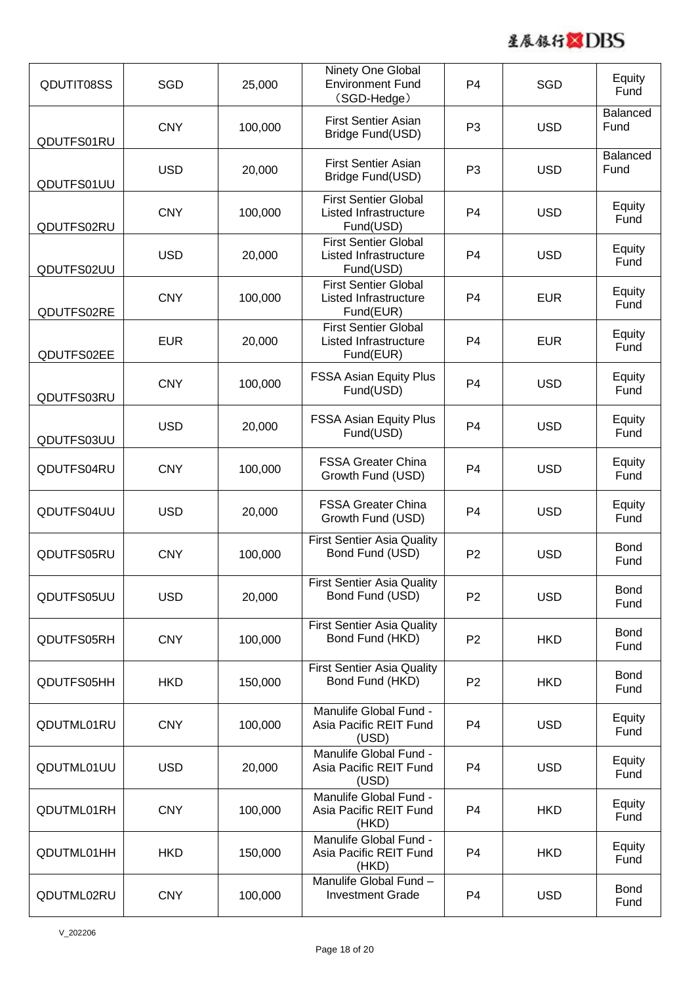

| QDUTIT08SS | SGD        | 25,000  | Ninety One Global<br><b>Environment Fund</b><br>(SGD-Hedge)              | P <sub>4</sub> | SGD        | Equity<br>Fund          |
|------------|------------|---------|--------------------------------------------------------------------------|----------------|------------|-------------------------|
| QDUTFS01RU | <b>CNY</b> | 100,000 | <b>First Sentier Asian</b><br>Bridge Fund(USD)                           | P <sub>3</sub> | <b>USD</b> | <b>Balanced</b><br>Fund |
| QDUTFS01UU | <b>USD</b> | 20,000  | <b>First Sentier Asian</b><br>Bridge Fund(USD)                           | P <sub>3</sub> | <b>USD</b> | <b>Balanced</b><br>Fund |
| QDUTFS02RU | <b>CNY</b> | 100,000 | <b>First Sentier Global</b><br><b>Listed Infrastructure</b><br>Fund(USD) | P <sub>4</sub> | <b>USD</b> | Equity<br>Fund          |
| QDUTFS02UU | <b>USD</b> | 20,000  | <b>First Sentier Global</b><br><b>Listed Infrastructure</b><br>Fund(USD) | P <sub>4</sub> | <b>USD</b> | Equity<br>Fund          |
| QDUTFS02RE | <b>CNY</b> | 100,000 | <b>First Sentier Global</b><br>Listed Infrastructure<br>Fund(EUR)        | P <sub>4</sub> | <b>EUR</b> | Equity<br>Fund          |
| QDUTFS02EE | <b>EUR</b> | 20,000  | <b>First Sentier Global</b><br>Listed Infrastructure<br>Fund(EUR)        | P <sub>4</sub> | <b>EUR</b> | Equity<br>Fund          |
| QDUTFS03RU | <b>CNY</b> | 100,000 | <b>FSSA Asian Equity Plus</b><br>Fund(USD)                               | P <sub>4</sub> | <b>USD</b> | Equity<br>Fund          |
| QDUTFS03UU | <b>USD</b> | 20,000  | <b>FSSA Asian Equity Plus</b><br>Fund(USD)                               | P <sub>4</sub> | <b>USD</b> | Equity<br>Fund          |
| QDUTFS04RU | <b>CNY</b> | 100,000 | <b>FSSA Greater China</b><br>Growth Fund (USD)                           | P <sub>4</sub> | <b>USD</b> | Equity<br>Fund          |
| QDUTFS04UU | <b>USD</b> | 20,000  | <b>FSSA Greater China</b><br>Growth Fund (USD)                           | P <sub>4</sub> | <b>USD</b> | Equity<br>Fund          |
| QDUTFS05RU | <b>CNY</b> | 100,000 | <b>First Sentier Asia Quality</b><br>Bond Fund (USD)                     | P <sub>2</sub> | <b>USD</b> | <b>Bond</b><br>Fund     |
| QDUTFS05UU | <b>USD</b> | 20,000  | <b>First Sentier Asia Quality</b><br>Bond Fund (USD)                     | P <sub>2</sub> | <b>USD</b> | <b>Bond</b><br>Fund     |
| QDUTFS05RH | <b>CNY</b> | 100,000 | <b>First Sentier Asia Quality</b><br>Bond Fund (HKD)                     | P <sub>2</sub> | <b>HKD</b> | <b>Bond</b><br>Fund     |
| QDUTFS05HH | <b>HKD</b> | 150,000 | <b>First Sentier Asia Quality</b><br>Bond Fund (HKD)                     | P <sub>2</sub> | <b>HKD</b> | <b>Bond</b><br>Fund     |
| QDUTML01RU | <b>CNY</b> | 100,000 | Manulife Global Fund -<br>Asia Pacific REIT Fund<br>(USD)                | P <sub>4</sub> | <b>USD</b> | Equity<br>Fund          |
| QDUTML01UU | <b>USD</b> | 20,000  | Manulife Global Fund -<br>Asia Pacific REIT Fund<br>(USD)                | P <sub>4</sub> | <b>USD</b> | Equity<br>Fund          |
| QDUTML01RH | <b>CNY</b> | 100,000 | Manulife Global Fund -<br>Asia Pacific REIT Fund<br>(HKD)                | P <sub>4</sub> | <b>HKD</b> | Equity<br>Fund          |
| QDUTML01HH | <b>HKD</b> | 150,000 | Manulife Global Fund -<br>Asia Pacific REIT Fund<br>(HKD)                | P <sub>4</sub> | <b>HKD</b> | Equity<br>Fund          |
| QDUTML02RU | <b>CNY</b> | 100,000 | Manulife Global Fund -<br><b>Investment Grade</b>                        | P <sub>4</sub> | <b>USD</b> | <b>Bond</b><br>Fund     |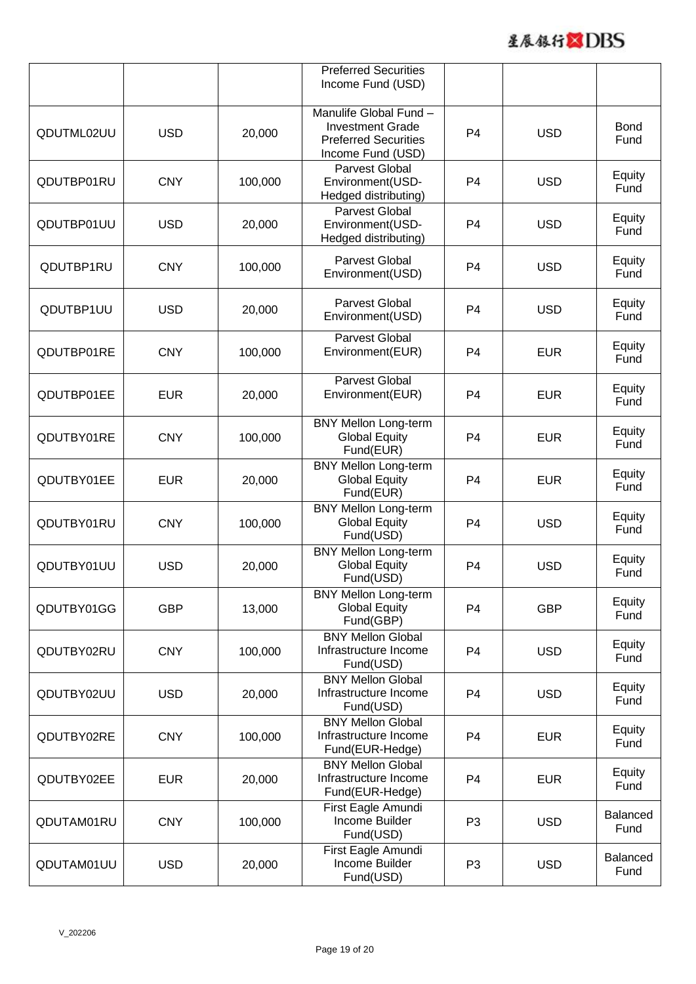

|            |            |         | <b>Preferred Securities</b><br>Income Fund (USD)                                                      |                |            |                         |
|------------|------------|---------|-------------------------------------------------------------------------------------------------------|----------------|------------|-------------------------|
| QDUTML02UU | <b>USD</b> | 20,000  | Manulife Global Fund -<br><b>Investment Grade</b><br><b>Preferred Securities</b><br>Income Fund (USD) | P <sub>4</sub> | <b>USD</b> | <b>Bond</b><br>Fund     |
| QDUTBP01RU | <b>CNY</b> | 100,000 | <b>Parvest Global</b><br>Environment(USD-<br>Hedged distributing)                                     | P <sub>4</sub> | <b>USD</b> | Equity<br>Fund          |
| QDUTBP01UU | <b>USD</b> | 20,000  | Parvest Global<br>Environment(USD-<br>Hedged distributing)                                            | P <sub>4</sub> | <b>USD</b> | Equity<br>Fund          |
| QDUTBP1RU  | <b>CNY</b> | 100,000 | Parvest Global<br>Environment(USD)                                                                    | P <sub>4</sub> | <b>USD</b> | Equity<br>Fund          |
| QDUTBP1UU  | <b>USD</b> | 20,000  | Parvest Global<br>Environment(USD)                                                                    | P <sub>4</sub> | <b>USD</b> | Equity<br>Fund          |
| QDUTBP01RE | <b>CNY</b> | 100,000 | <b>Parvest Global</b><br>Environment(EUR)                                                             | P <sub>4</sub> | <b>EUR</b> | Equity<br>Fund          |
| QDUTBP01EE | <b>EUR</b> | 20,000  | <b>Parvest Global</b><br>Environment(EUR)                                                             | P <sub>4</sub> | <b>EUR</b> | Equity<br>Fund          |
| QDUTBY01RE | <b>CNY</b> | 100,000 | <b>BNY Mellon Long-term</b><br><b>Global Equity</b><br>Fund(EUR)                                      | P <sub>4</sub> | <b>EUR</b> | Equity<br>Fund          |
| QDUTBY01EE | <b>EUR</b> | 20,000  | <b>BNY Mellon Long-term</b><br><b>Global Equity</b><br>Fund(EUR)                                      | P <sub>4</sub> | <b>EUR</b> | Equity<br>Fund          |
| QDUTBY01RU | <b>CNY</b> | 100,000 | <b>BNY Mellon Long-term</b><br><b>Global Equity</b><br>Fund(USD)                                      | P <sub>4</sub> | <b>USD</b> | Equity<br>Fund          |
| QDUTBY01UU | <b>USD</b> | 20,000  | <b>BNY Mellon Long-term</b><br><b>Global Equity</b><br>Fund(USD)                                      | P <sub>4</sub> | <b>USD</b> | Equity<br>Fund          |
| QDUTBY01GG | <b>GBP</b> | 13,000  | <b>BNY Mellon Long-term</b><br><b>Global Equity</b><br>Fund(GBP)                                      | P <sub>4</sub> | <b>GBP</b> | Equity<br>Fund          |
| QDUTBY02RU | <b>CNY</b> | 100,000 | <b>BNY Mellon Global</b><br>Infrastructure Income<br>Fund(USD)                                        | P <sub>4</sub> | <b>USD</b> | Equity<br>Fund          |
| QDUTBY02UU | <b>USD</b> | 20,000  | <b>BNY Mellon Global</b><br>Infrastructure Income<br>Fund(USD)                                        | P <sub>4</sub> | <b>USD</b> | Equity<br>Fund          |
| QDUTBY02RE | <b>CNY</b> | 100,000 | <b>BNY Mellon Global</b><br>Infrastructure Income<br>Fund(EUR-Hedge)                                  | P <sub>4</sub> | <b>EUR</b> | Equity<br>Fund          |
| QDUTBY02EE | <b>EUR</b> | 20,000  | <b>BNY Mellon Global</b><br>Infrastructure Income<br>Fund(EUR-Hedge)                                  | P <sub>4</sub> | <b>EUR</b> | Equity<br>Fund          |
| QDUTAM01RU | <b>CNY</b> | 100,000 | First Eagle Amundi<br>Income Builder<br>Fund(USD)                                                     | P <sub>3</sub> | <b>USD</b> | <b>Balanced</b><br>Fund |
| QDUTAM01UU | <b>USD</b> | 20,000  | First Eagle Amundi<br>Income Builder<br>Fund(USD)                                                     | P <sub>3</sub> | <b>USD</b> | <b>Balanced</b><br>Fund |